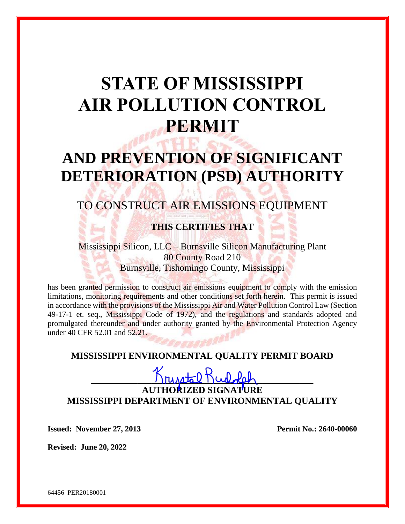# **STATE OF MISSISSIPPI AIR POLLUTION CONTROL PERMIT**

## **AND PREVENTION OF SIGNIFICANT DETERIORATION (PSD) AUTHORITY**

## TO CONSTRUCT AIR EMISSIONS EQUIPMENT

## **THIS CERTIFIES THAT**

Mississippi Silicon, LLC – Burnsville Silicon Manufacturing Plant 80 County Road 210 Burnsville, Tishomingo County, Mississippi

has been granted permission to construct air emissions equipment to comply with the emission limitations, monitoring requirements and other conditions set forth herein. This permit is issued in accordance with the provisions of the Mississippi Air and Water Pollution Control Law (Section 49-17-1 et. seq., Mississippi Code of 1972), and the regulations and standards adopted and promulgated thereunder and under authority granted by the Environmental Protection Agency under 40 CFR 52.01 and 52.21.

#### **MISSISSIPPI ENVIRONMENTAL QUALITY PERMIT BOARD**

## $K$ russtal Rudolah **AUTHORIZED SIGNATURE MISSISSIPPI DEPARTMENT OF ENVIRONMENTAL QUALITY**

**Issued: November 27, 2013 Permit No.: 2640-00060**

**Revised: June 20, 2022**

64456 PER20180001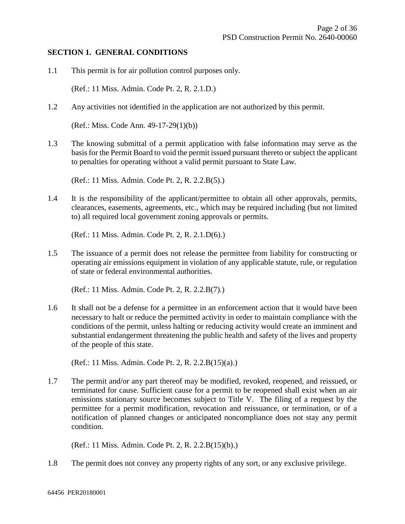#### **SECTION 1. GENERAL CONDITIONS**

1.1 This permit is for air pollution control purposes only.

(Ref.: 11 Miss. Admin. Code Pt. 2, R. 2.1.D.)

1.2 Any activities not identified in the application are not authorized by this permit.

(Ref.: Miss. Code Ann. 49-17-29(1)(b))

1.3 The knowing submittal of a permit application with false information may serve as the basis for the Permit Board to void the permit issued pursuant thereto or subject the applicant to penalties for operating without a valid permit pursuant to State Law.

(Ref.: 11 Miss. Admin. Code Pt. 2, R. 2.2.B(5).)

1.4 It is the responsibility of the applicant/permittee to obtain all other approvals, permits, clearances, easements, agreements, etc., which may be required including (but not limited to) all required local government zoning approvals or permits.

(Ref.: 11 Miss. Admin. Code Pt. 2, R. 2.1.D(6).)

1.5 The issuance of a permit does not release the permittee from liability for constructing or operating air emissions equipment in violation of any applicable statute, rule, or regulation of state or federal environmental authorities.

(Ref.: 11 Miss. Admin. Code Pt. 2, R. 2.2.B(7).)

1.6 It shall not be a defense for a permittee in an enforcement action that it would have been necessary to halt or reduce the permitted activity in order to maintain compliance with the conditions of the permit, unless halting or reducing activity would create an imminent and substantial endangerment threatening the public health and safety of the lives and property of the people of this state.

(Ref.: 11 Miss. Admin. Code Pt. 2, R. 2.2.B(15)(a).)

1.7 The permit and/or any part thereof may be modified, revoked, reopened, and reissued, or terminated for cause. Sufficient cause for a permit to be reopened shall exist when an air emissions stationary source becomes subject to Title V. The filing of a request by the permittee for a permit modification, revocation and reissuance, or termination, or of a notification of planned changes or anticipated noncompliance does not stay any permit condition.

(Ref.: 11 Miss. Admin. Code Pt. 2, R. 2.2.B(15)(b).)

1.8 The permit does not convey any property rights of any sort, or any exclusive privilege.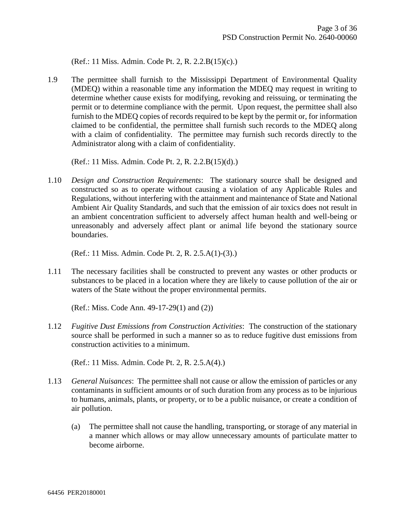(Ref.: 11 Miss. Admin. Code Pt. 2, R. 2.2.B(15)(c).)

1.9 The permittee shall furnish to the Mississippi Department of Environmental Quality (MDEQ) within a reasonable time any information the MDEQ may request in writing to determine whether cause exists for modifying, revoking and reissuing, or terminating the permit or to determine compliance with the permit. Upon request, the permittee shall also furnish to the MDEQ copies of records required to be kept by the permit or, for information claimed to be confidential, the permittee shall furnish such records to the MDEQ along with a claim of confidentiality. The permittee may furnish such records directly to the Administrator along with a claim of confidentiality.

(Ref.: 11 Miss. Admin. Code Pt. 2, R. 2.2.B(15)(d).)

1.10 *Design and Construction Requirements*: The stationary source shall be designed and constructed so as to operate without causing a violation of any Applicable Rules and Regulations, without interfering with the attainment and maintenance of State and National Ambient Air Quality Standards, and such that the emission of air toxics does not result in an ambient concentration sufficient to adversely affect human health and well-being or unreasonably and adversely affect plant or animal life beyond the stationary source boundaries.

(Ref.: 11 Miss. Admin. Code Pt. 2, R. 2.5.A(1)-(3).)

1.11 The necessary facilities shall be constructed to prevent any wastes or other products or substances to be placed in a location where they are likely to cause pollution of the air or waters of the State without the proper environmental permits.

(Ref.: Miss. Code Ann. 49-17-29(1) and (2))

1.12 *Fugitive Dust Emissions from Construction Activities*: The construction of the stationary source shall be performed in such a manner so as to reduce fugitive dust emissions from construction activities to a minimum.

(Ref.: 11 Miss. Admin. Code Pt. 2, R. 2.5.A(4).)

- 1.13 *General Nuisances*: The permittee shall not cause or allow the emission of particles or any contaminants in sufficient amounts or of such duration from any process as to be injurious to humans, animals, plants, or property, or to be a public nuisance, or create a condition of air pollution.
	- (a) The permittee shall not cause the handling, transporting, or storage of any material in a manner which allows or may allow unnecessary amounts of particulate matter to become airborne.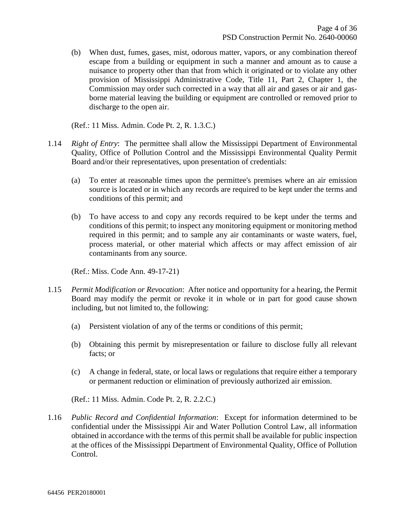(b) When dust, fumes, gases, mist, odorous matter, vapors, or any combination thereof escape from a building or equipment in such a manner and amount as to cause a nuisance to property other than that from which it originated or to violate any other provision of Mississippi Administrative Code, Title 11, Part 2, Chapter 1, the Commission may order such corrected in a way that all air and gases or air and gasborne material leaving the building or equipment are controlled or removed prior to discharge to the open air.

(Ref.: 11 Miss. Admin. Code Pt. 2, R. 1.3.C.)

- 1.14 *Right of Entry*: The permittee shall allow the Mississippi Department of Environmental Quality, Office of Pollution Control and the Mississippi Environmental Quality Permit Board and/or their representatives, upon presentation of credentials:
	- (a) To enter at reasonable times upon the permittee's premises where an air emission source is located or in which any records are required to be kept under the terms and conditions of this permit; and
	- (b) To have access to and copy any records required to be kept under the terms and conditions of this permit; to inspect any monitoring equipment or monitoring method required in this permit; and to sample any air contaminants or waste waters, fuel, process material, or other material which affects or may affect emission of air contaminants from any source.

(Ref.: Miss. Code Ann. 49-17-21)

- 1.15 *Permit Modification or Revocation*: After notice and opportunity for a hearing, the Permit Board may modify the permit or revoke it in whole or in part for good cause shown including, but not limited to, the following:
	- (a) Persistent violation of any of the terms or conditions of this permit;
	- (b) Obtaining this permit by misrepresentation or failure to disclose fully all relevant facts; or
	- (c) A change in federal, state, or local laws or regulations that require either a temporary or permanent reduction or elimination of previously authorized air emission.

(Ref.: 11 Miss. Admin. Code Pt. 2, R. 2.2.C.)

1.16 *Public Record and Confidential Information*: Except for information determined to be confidential under the Mississippi Air and Water Pollution Control Law, all information obtained in accordance with the terms of this permit shall be available for public inspection at the offices of the Mississippi Department of Environmental Quality, Office of Pollution Control.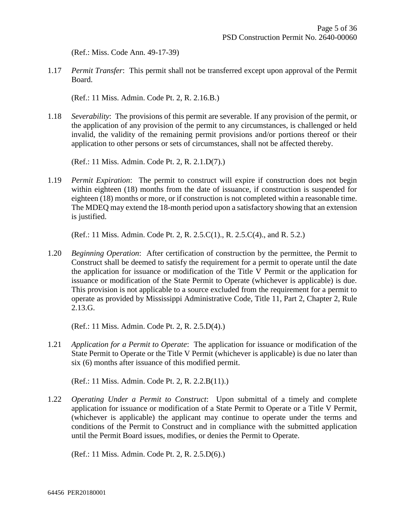(Ref.: Miss. Code Ann. 49-17-39)

1.17 *Permit Transfer*: This permit shall not be transferred except upon approval of the Permit Board.

(Ref.: 11 Miss. Admin. Code Pt. 2, R. 2.16.B.)

1.18 *Severability*: The provisions of this permit are severable. If any provision of the permit, or the application of any provision of the permit to any circumstances, is challenged or held invalid, the validity of the remaining permit provisions and/or portions thereof or their application to other persons or sets of circumstances, shall not be affected thereby.

(Ref.: 11 Miss. Admin. Code Pt. 2, R. 2.1.D(7).)

1.19 *Permit Expiration*: The permit to construct will expire if construction does not begin within eighteen (18) months from the date of issuance, if construction is suspended for eighteen (18) months or more, or if construction is not completed within a reasonable time. The MDEQ may extend the 18-month period upon a satisfactory showing that an extension is justified.

(Ref.: 11 Miss. Admin. Code Pt. 2, R. 2.5.C(1)., R. 2.5.C(4)., and R. 5.2.)

1.20 *Beginning Operation*: After certification of construction by the permittee, the Permit to Construct shall be deemed to satisfy the requirement for a permit to operate until the date the application for issuance or modification of the Title V Permit or the application for issuance or modification of the State Permit to Operate (whichever is applicable) is due. This provision is not applicable to a source excluded from the requirement for a permit to operate as provided by Mississippi Administrative Code, Title 11, Part 2, Chapter 2, Rule 2.13.G.

(Ref.: 11 Miss. Admin. Code Pt. 2, R. 2.5.D(4).)

1.21 *Application for a Permit to Operate*: The application for issuance or modification of the State Permit to Operate or the Title V Permit (whichever is applicable) is due no later than six (6) months after issuance of this modified permit.

(Ref.: 11 Miss. Admin. Code Pt. 2, R. 2.2.B(11).)

1.22 *Operating Under a Permit to Construct*: Upon submittal of a timely and complete application for issuance or modification of a State Permit to Operate or a Title V Permit, (whichever is applicable) the applicant may continue to operate under the terms and conditions of the Permit to Construct and in compliance with the submitted application until the Permit Board issues, modifies, or denies the Permit to Operate.

(Ref.: 11 Miss. Admin. Code Pt. 2, R. 2.5.D(6).)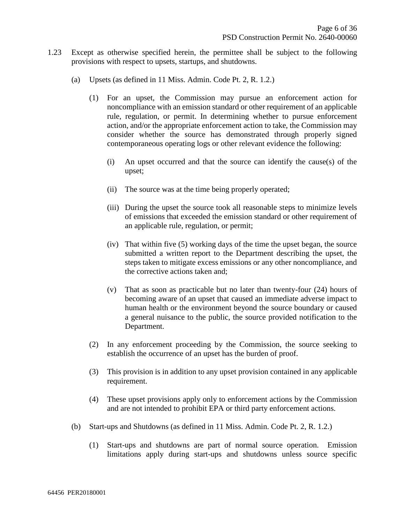- 1.23 Except as otherwise specified herein, the permittee shall be subject to the following provisions with respect to upsets, startups, and shutdowns.
	- (a) Upsets (as defined in 11 Miss. Admin. Code Pt. 2, R. 1.2.)
		- (1) For an upset, the Commission may pursue an enforcement action for noncompliance with an emission standard or other requirement of an applicable rule, regulation, or permit. In determining whether to pursue enforcement action, and/or the appropriate enforcement action to take, the Commission may consider whether the source has demonstrated through properly signed contemporaneous operating logs or other relevant evidence the following:
			- (i) An upset occurred and that the source can identify the cause(s) of the upset;
			- (ii) The source was at the time being properly operated;
			- (iii) During the upset the source took all reasonable steps to minimize levels of emissions that exceeded the emission standard or other requirement of an applicable rule, regulation, or permit;
			- (iv) That within five (5) working days of the time the upset began, the source submitted a written report to the Department describing the upset, the steps taken to mitigate excess emissions or any other noncompliance, and the corrective actions taken and;
			- (v) That as soon as practicable but no later than twenty-four (24) hours of becoming aware of an upset that caused an immediate adverse impact to human health or the environment beyond the source boundary or caused a general nuisance to the public, the source provided notification to the Department.
		- (2) In any enforcement proceeding by the Commission, the source seeking to establish the occurrence of an upset has the burden of proof.
		- (3) This provision is in addition to any upset provision contained in any applicable requirement.
		- (4) These upset provisions apply only to enforcement actions by the Commission and are not intended to prohibit EPA or third party enforcement actions.
	- (b) Start-ups and Shutdowns (as defined in 11 Miss. Admin. Code Pt. 2, R. 1.2.)
		- (1) Start-ups and shutdowns are part of normal source operation. Emission limitations apply during start-ups and shutdowns unless source specific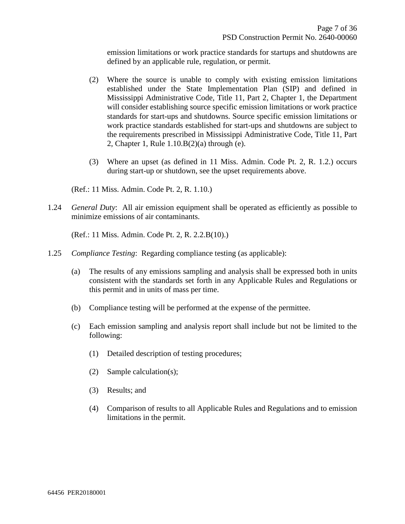emission limitations or work practice standards for startups and shutdowns are defined by an applicable rule, regulation, or permit.

- (2) Where the source is unable to comply with existing emission limitations established under the State Implementation Plan (SIP) and defined in Mississippi Administrative Code, Title 11, Part 2, Chapter 1, the Department will consider establishing source specific emission limitations or work practice standards for start-ups and shutdowns. Source specific emission limitations or work practice standards established for start-ups and shutdowns are subject to the requirements prescribed in Mississippi Administrative Code, Title 11, Part 2, Chapter 1, Rule 1.10.B(2)(a) through (e).
- (3) Where an upset (as defined in 11 Miss. Admin. Code Pt. 2, R. 1.2.) occurs during start-up or shutdown, see the upset requirements above.

(Ref.: 11 Miss. Admin. Code Pt. 2, R. 1.10.)

1.24 *General Duty*: All air emission equipment shall be operated as efficiently as possible to minimize emissions of air contaminants.

(Ref.: 11 Miss. Admin. Code Pt. 2, R. 2.2.B(10).)

- 1.25 *Compliance Testing*: Regarding compliance testing (as applicable):
	- (a) The results of any emissions sampling and analysis shall be expressed both in units consistent with the standards set forth in any Applicable Rules and Regulations or this permit and in units of mass per time.
	- (b) Compliance testing will be performed at the expense of the permittee.
	- (c) Each emission sampling and analysis report shall include but not be limited to the following:
		- (1) Detailed description of testing procedures;
		- (2) Sample calculation(s);
		- (3) Results; and
		- (4) Comparison of results to all Applicable Rules and Regulations and to emission limitations in the permit.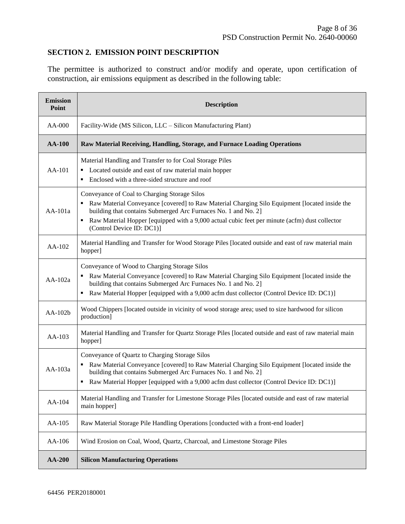#### **SECTION 2. EMISSION POINT DESCRIPTION**

The permittee is authorized to construct and/or modify and operate, upon certification of construction, air emissions equipment as described in the following table:

| <b>Emission</b><br>Point | <b>Description</b>                                                                                                                                                                                                                                                                                                                                              |  |  |  |  |
|--------------------------|-----------------------------------------------------------------------------------------------------------------------------------------------------------------------------------------------------------------------------------------------------------------------------------------------------------------------------------------------------------------|--|--|--|--|
| $AA-000$                 | Facility-Wide (MS Silicon, LLC – Silicon Manufacturing Plant)                                                                                                                                                                                                                                                                                                   |  |  |  |  |
| <b>AA-100</b>            | Raw Material Receiving, Handling, Storage, and Furnace Loading Operations                                                                                                                                                                                                                                                                                       |  |  |  |  |
| $AA-101$                 | Material Handling and Transfer to for Coal Storage Piles<br>• Located outside and east of raw material main hopper<br>Enclosed with a three-sided structure and roof<br>٠                                                                                                                                                                                       |  |  |  |  |
| AA-101a                  | Conveyance of Coal to Charging Storage Silos<br>Raw Material Conveyance [covered] to Raw Material Charging Silo Equipment [located inside the<br>building that contains Submerged Arc Furnaces No. 1 and No. 2]<br>Raw Material Hopper [equipped with a 9,000 actual cubic feet per minute (acfm) dust collector<br>$\blacksquare$<br>(Control Device ID: DC1)] |  |  |  |  |
| AA-102                   | Material Handling and Transfer for Wood Storage Piles [located outside and east of raw material main<br>hopper]                                                                                                                                                                                                                                                 |  |  |  |  |
| $AA-102a$                | Conveyance of Wood to Charging Storage Silos<br>Raw Material Conveyance [covered] to Raw Material Charging Silo Equipment [located inside the<br>building that contains Submerged Arc Furnaces No. 1 and No. 2]<br>• Raw Material Hopper [equipped with a 9,000 acfm dust collector (Control Device ID: DC1)]                                                   |  |  |  |  |
| $AA-102b$                | Wood Chippers [located outside in vicinity of wood storage area; used to size hardwood for silicon<br>production]                                                                                                                                                                                                                                               |  |  |  |  |
| AA-103                   | Material Handling and Transfer for Quartz Storage Piles [located outside and east of raw material main<br>hopper]                                                                                                                                                                                                                                               |  |  |  |  |
| AA-103a                  | Conveyance of Quartz to Charging Storage Silos<br>Raw Material Conveyance [covered] to Raw Material Charging Silo Equipment [located inside the<br>building that contains Submerged Arc Furnaces No. 1 and No. 2]<br>Raw Material Hopper [equipped with a 9,000 acfm dust collector (Control Device ID: DC1)]                                                   |  |  |  |  |
| AA-104                   | Material Handling and Transfer for Limestone Storage Piles [located outside and east of raw material<br>main hopper]                                                                                                                                                                                                                                            |  |  |  |  |
| AA-105                   | Raw Material Storage Pile Handling Operations [conducted with a front-end loader]                                                                                                                                                                                                                                                                               |  |  |  |  |
| AA-106                   | Wind Erosion on Coal, Wood, Quartz, Charcoal, and Limestone Storage Piles                                                                                                                                                                                                                                                                                       |  |  |  |  |
| AA-200                   | <b>Silicon Manufacturing Operations</b>                                                                                                                                                                                                                                                                                                                         |  |  |  |  |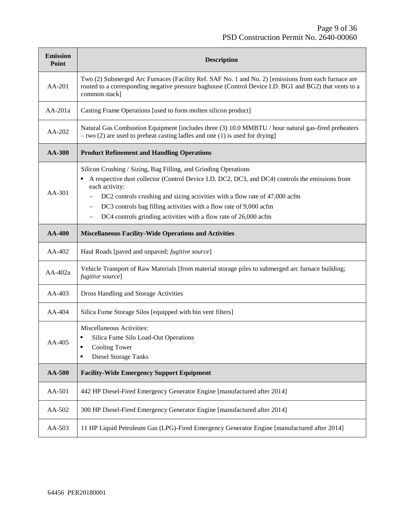| <b>Emission</b><br>Point | <b>Description</b>                                                                                                                                                                                                                                                                                                                                                                                            |
|--------------------------|---------------------------------------------------------------------------------------------------------------------------------------------------------------------------------------------------------------------------------------------------------------------------------------------------------------------------------------------------------------------------------------------------------------|
| AA-201                   | Two (2) Submerged Arc Furnaces (Facility Ref. SAF No. 1 and No. 2) [emissions from each furnace are<br>routed to a corresponding negative pressure baghouse (Control Device I.D. BG1 and BG2) that vents to a<br>common stack]                                                                                                                                                                                |
| AA-201a                  | Casting Frame Operations [used to form molten silicon product]                                                                                                                                                                                                                                                                                                                                                |
| AA-202                   | Natural Gas Combustion Equipment [includes three (3) 10.0 MMBTU / hour natural gas-fired preheaters<br>$-$ two (2) are used to preheat casting ladles and one (1) is used for drying]                                                                                                                                                                                                                         |
| <b>AA-300</b>            | <b>Product Refinement and Handling Operations</b>                                                                                                                                                                                                                                                                                                                                                             |
| AA-301                   | Silicon Crushing / Sizing, Bag Filling, and Grinding Operations<br>A respective dust collector (Control Device I.D. DC2, DC3, and DC4) controls the emissions from<br>each activity:<br>DC2 controls crushing and sizing activities with a flow rate of 47,000 acfm<br>DC3 controls bag filling activities with a flow rate of 9,000 acfm<br>DC4 controls grinding activities with a flow rate of 26,000 acfm |
| <b>AA-400</b>            | <b>Miscellaneous Facility-Wide Operations and Activities</b>                                                                                                                                                                                                                                                                                                                                                  |
| AA-402                   | Haul Roads [paved and unpaved; fugitive source]                                                                                                                                                                                                                                                                                                                                                               |
| AA-402a                  | Vehicle Transport of Raw Materials [from material storage piles to submerged arc furnace building;<br>fugitive source]                                                                                                                                                                                                                                                                                        |
| $AA-403$                 | Dross Handling and Storage Activities                                                                                                                                                                                                                                                                                                                                                                         |
| AA-404                   | Silica Fume Storage Silos [equipped with bin vent filters]                                                                                                                                                                                                                                                                                                                                                    |
| AA-405                   | Miscellaneous Activities:<br>Silica Fume Silo Load-Out Operations<br><b>Cooling Tower</b><br><b>Diesel Storage Tanks</b><br>٠                                                                                                                                                                                                                                                                                 |
| AA-500                   | <b>Facility-Wide Emergency Support Equipment</b>                                                                                                                                                                                                                                                                                                                                                              |
| AA-501                   | 442 HP Diesel-Fired Emergency Generator Engine [manufactured after 2014]                                                                                                                                                                                                                                                                                                                                      |
| AA-502                   | 300 HP Diesel-Fired Emergency Generator Engine [manufactured after 2014]                                                                                                                                                                                                                                                                                                                                      |
| AA-503                   | 11 HP Liquid Petroleum Gas (LPG)-Fired Emergency Generator Engine [manufactured after 2014]                                                                                                                                                                                                                                                                                                                   |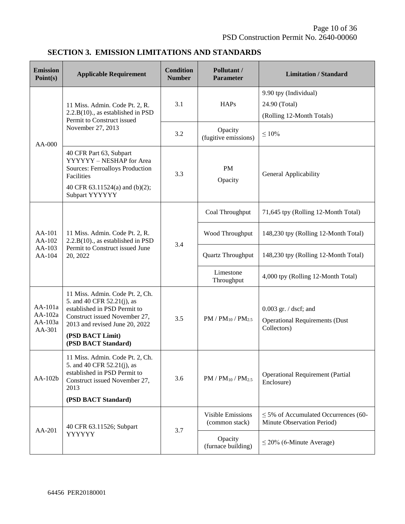#### **SECTION 3. EMISSION LIMITATIONS AND STANDARDS**

| <b>Emission</b><br>Point(s)               | <b>Applicable Requirement</b>                                                                                                                                                                               | <b>Condition</b><br><b>Number</b> | Pollutant /<br><b>Parameter</b>            | <b>Limitation / Standard</b>                                                      |
|-------------------------------------------|-------------------------------------------------------------------------------------------------------------------------------------------------------------------------------------------------------------|-----------------------------------|--------------------------------------------|-----------------------------------------------------------------------------------|
| $AA-000$                                  | 11 Miss. Admin. Code Pt. 2, R.<br>$2.2.B(10)$ ., as established in PSD<br>Permit to Construct issued<br>November 27, 2013                                                                                   | 3.1                               | <b>HAPs</b>                                | 9.90 tpy (Individual)<br>24.90 (Total)<br>(Rolling 12-Month Totals)               |
|                                           |                                                                                                                                                                                                             | 3.2                               | Opacity<br>(fugitive emissions)            | $\leq 10\%$                                                                       |
|                                           | 40 CFR Part 63, Subpart<br>YYYYYY - NESHAP for Area<br><b>Sources: Ferroalloys Production</b><br>Facilities<br>40 CFR 63.11524(a) and (b)(2);<br>Subpart YYYYYY                                             | 3.3                               | <b>PM</b><br>Opacity                       | General Applicability                                                             |
|                                           | 11 Miss. Admin. Code Pt. 2, R.<br>2.2.B(10)., as established in PSD<br>Permit to Construct issued June<br>20, 2022                                                                                          |                                   | Coal Throughput                            | 71,645 tpy (Rolling 12-Month Total)                                               |
| AA-101<br>AA-102                          |                                                                                                                                                                                                             | 3.4                               | Wood Throughput                            | 148,230 tpy (Rolling 12-Month Total)                                              |
| AA-103<br>AA-104                          |                                                                                                                                                                                                             |                                   | Quartz Throughput                          | 148,230 tpy (Rolling 12-Month Total)                                              |
|                                           |                                                                                                                                                                                                             |                                   | Limestone<br>Throughput                    | 4,000 tpy (Rolling 12-Month Total)                                                |
| $AA-101a$<br>AA-102a<br>AA-103a<br>AA-301 | 11 Miss. Admin. Code Pt. 2, Ch.<br>5. and 40 CFR 52.21(j), as<br>established in PSD Permit to<br>Construct issued November 27,<br>2013 and revised June 20, 2022<br>(PSD BACT Limit)<br>(PSD BACT Standard) | 3.5                               | $PM / PM_{10} / PM_{2.5}$                  | $0.003$ gr. $/$ dscf; and<br><b>Operational Requirements (Dust</b><br>Collectors) |
| AA-102b                                   | 11 Miss. Admin. Code Pt. 2, Ch.<br>5. and 40 CFR 52.21(j), as<br>established in PSD Permit to<br>Construct issued November 27,<br>2013<br>(PSD BACT Standard)                                               | 3.6                               | $PM / PM_{10} / PM_{2.5}$                  | <b>Operational Requirement (Partial</b><br>Enclosure)                             |
| AA-201                                    | 40 CFR 63.11526; Subpart<br>YYYYYY                                                                                                                                                                          | 3.7                               | <b>Visible Emissions</b><br>(common stack) | $\leq$ 5% of Accumulated Occurrences (60-<br>Minute Observation Period)           |
|                                           |                                                                                                                                                                                                             |                                   | Opacity<br>(furnace building)              | $\leq$ 20% (6-Minute Average)                                                     |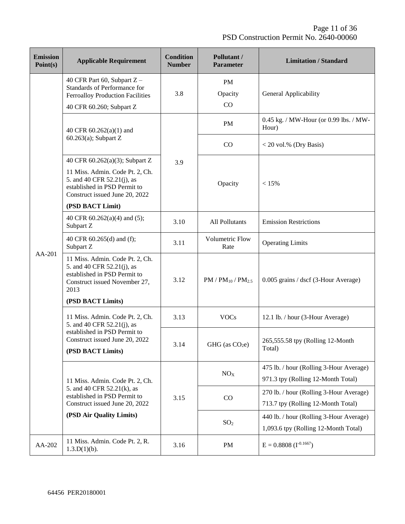| <b>Emission</b><br>Point(s) | <b>Applicable Requirement</b>                                                                                                                                                         | <b>Condition</b><br><b>Number</b> | Pollutant /<br><b>Parameter</b> | <b>Limitation / Standard</b>                                                    |
|-----------------------------|---------------------------------------------------------------------------------------------------------------------------------------------------------------------------------------|-----------------------------------|---------------------------------|---------------------------------------------------------------------------------|
|                             | 40 CFR Part 60, Subpart Z -<br>Standards of Performance for<br><b>Ferroalloy Production Facilities</b><br>40 CFR 60.260; Subpart Z                                                    | 3.8                               | <b>PM</b><br>Opacity<br>CO      | General Applicability                                                           |
|                             | 40 CFR 60.262(a)(1) and                                                                                                                                                               |                                   | <b>PM</b>                       | 0.45 kg. / MW-Hour (or 0.99 lbs. / MW-<br>Hour)                                 |
|                             | $60.263(a)$ ; Subpart Z                                                                                                                                                               |                                   | CO                              | $<$ 20 vol.% (Dry Basis)                                                        |
|                             | 40 CFR 60.262(a)(3); Subpart Z<br>11 Miss. Admin. Code Pt. 2, Ch.<br>5. and 40 CFR 52.21(j), as<br>established in PSD Permit to<br>Construct issued June 20, 2022<br>(PSD BACT Limit) | 3.9                               | Opacity                         | < 15%                                                                           |
|                             | 40 CFR 60.262(a)(4) and (5);<br>Subpart Z                                                                                                                                             | 3.10                              | <b>All Pollutants</b>           | <b>Emission Restrictions</b>                                                    |
|                             | 40 CFR 60.265(d) and (f);<br>Subpart Z                                                                                                                                                | 3.11                              | Volumetric Flow<br>Rate         | <b>Operating Limits</b>                                                         |
| AA-201                      | 11 Miss. Admin. Code Pt. 2, Ch.<br>5. and 40 CFR 52.21(j), as<br>established in PSD Permit to<br>Construct issued November 27,<br>2013<br>(PSD BACT Limits)                           | 3.12                              | $PM / PM_{10} / PM_{2.5}$       | 0.005 grains / dscf (3-Hour Average)                                            |
|                             | 11 Miss. Admin. Code Pt. 2, Ch.<br>5. and 40 CFR 52.21(j), as                                                                                                                         | 3.13                              | <b>VOCs</b>                     | 12.1 lb. / hour (3-Hour Average)                                                |
|                             | established in PSD Permit to<br>Construct issued June 20, 2022<br>(PSD BACT Limits)                                                                                                   | 3.14                              | GHG (as $CO2e$ )                | 265,555.58 tpy (Rolling 12-Month<br>Total)                                      |
|                             | 11 Miss. Admin. Code Pt. 2, Ch.                                                                                                                                                       | 3.15                              | NO <sub>X</sub>                 | 475 lb. / hour (Rolling 3-Hour Average)<br>971.3 tpy (Rolling 12-Month Total)   |
|                             | 5. and 40 CFR 52.21(k), as<br>established in PSD Permit to<br>Construct issued June 20, 2022                                                                                          |                                   | CO                              | 270 lb. / hour (Rolling 3-Hour Average)<br>713.7 tpy (Rolling 12-Month Total)   |
|                             | (PSD Air Quality Limits)                                                                                                                                                              |                                   | SO <sub>2</sub>                 | 440 lb. / hour (Rolling 3-Hour Average)<br>1,093.6 tpy (Rolling 12-Month Total) |
| AA-202                      | 11 Miss. Admin. Code Pt. 2, R.<br>$1.3.D(1)(b)$ .                                                                                                                                     | 3.16                              | PM                              | $E = 0.8808$ (I <sup>-0.1667</sup> )                                            |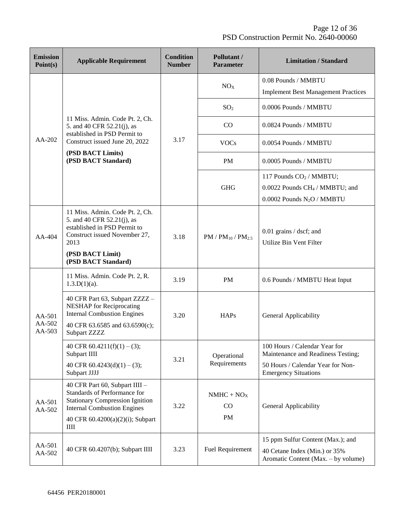Page 12 of 36 PSD Construction Permit No. 2640-00060

| <b>Emission</b><br>Point(s) | <b>Applicable Requirement</b>                                                                                                                  | <b>Condition</b><br><b>Number</b> | Pollutant /<br><b>Parameter</b> | <b>Limitation / Standard</b>                                                                                                |
|-----------------------------|------------------------------------------------------------------------------------------------------------------------------------------------|-----------------------------------|---------------------------------|-----------------------------------------------------------------------------------------------------------------------------|
|                             |                                                                                                                                                |                                   | NO <sub>X</sub>                 | 0.08 Pounds / MMBTU<br><b>Implement Best Management Practices</b>                                                           |
|                             |                                                                                                                                                |                                   | SO <sub>2</sub>                 | 0.0006 Pounds / MMBTU                                                                                                       |
|                             | 11 Miss. Admin. Code Pt. 2, Ch.<br>5. and 40 CFR 52.21(j), as<br>established in PSD Permit to                                                  |                                   | CO                              | 0.0824 Pounds / MMBTU                                                                                                       |
| AA-202                      | Construct issued June 20, 2022                                                                                                                 | 3.17                              | <b>VOCs</b>                     | 0.0054 Pounds / MMBTU                                                                                                       |
|                             | (PSD BACT Limits)<br>(PSD BACT Standard)                                                                                                       |                                   | <b>PM</b>                       | 0.0005 Pounds / MMBTU                                                                                                       |
|                             |                                                                                                                                                |                                   | <b>GHG</b>                      | 117 Pounds CO <sub>2</sub> / MMBTU;<br>0.0022 Pounds CH <sub>4</sub> / MMBTU; and<br>0.0002 Pounds N <sub>2</sub> O / MMBTU |
| $AA-404$                    | 11 Miss. Admin. Code Pt. 2, Ch.<br>5. and 40 CFR 52.21(j), as<br>established in PSD Permit to<br>Construct issued November 27,<br>2013         | 3.18                              | $PM / PM_{10} / PM_{2.5}$       | $0.01$ grains / dscf; and<br>Utilize Bin Vent Filter                                                                        |
|                             | (PSD BACT Limit)<br>(PSD BACT Standard)                                                                                                        |                                   |                                 |                                                                                                                             |
| AA-501<br>$AA-502$          | 11 Miss. Admin. Code Pt. 2, R.<br>$1.3.D(1)(a)$ .                                                                                              | 3.19                              | <b>PM</b>                       | 0.6 Pounds / MMBTU Heat Input                                                                                               |
|                             | 40 CFR Part 63, Subpart ZZZZ -<br><b>NESHAP</b> for Reciprocating<br><b>Internal Combustion Engines</b><br>40 CFR 63.6585 and 63.6590(c);      | 3.20                              | <b>HAPs</b>                     | General Applicability                                                                                                       |
| AA-503                      | Subpart ZZZZ                                                                                                                                   |                                   |                                 |                                                                                                                             |
|                             | 40 CFR 60.4211(f)(1) – (3);<br>Subpart IIII                                                                                                    | 3.21                              | Operational                     | 100 Hours / Calendar Year for<br>Maintenance and Readiness Testing;                                                         |
|                             | 40 CFR $60.4243(d)(1) - (3);$<br>Subpart JJJJ                                                                                                  |                                   | Requirements                    | 50 Hours / Calendar Year for Non-<br><b>Emergency Situations</b>                                                            |
| AA-501<br>AA-502            | 40 CFR Part 60, Subpart IIII -<br>Standards of Performance for<br><b>Stationary Compression Ignition</b><br><b>Internal Combustion Engines</b> | 3.22                              | $NMHC + NOX$<br>CO              | General Applicability                                                                                                       |
|                             | 40 CFR 60.4200(a)(2)(i); Subpart<br>$\rm{HII}$                                                                                                 |                                   |                                 | PM                                                                                                                          |
| AA-501<br>AA-502            | 40 CFR 60.4207(b); Subpart IIII                                                                                                                | 3.23                              | <b>Fuel Requirement</b>         | 15 ppm Sulfur Content (Max.); and<br>40 Cetane Index (Min.) or 35%<br>Aromatic Content (Max. – by volume)                   |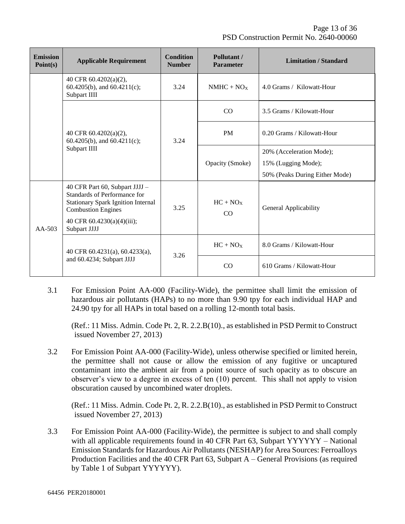| <b>Emission</b><br>Point(s) | <b>Applicable Requirement</b>                                                                                                                                                          | <b>Condition</b><br><b>Number</b> | Pollutant /<br>Parameter | <b>Limitation / Standard</b>                                                      |
|-----------------------------|----------------------------------------------------------------------------------------------------------------------------------------------------------------------------------------|-----------------------------------|--------------------------|-----------------------------------------------------------------------------------|
|                             | 40 CFR 60.4202(a)(2),<br>60.4205(b), and 60.4211(c);<br>Subpart IIII                                                                                                                   | 3.24                              | $NMHC + NOX$             | 4.0 Grams / Kilowatt-Hour                                                         |
|                             | 40 CFR 60.4202(a)(2),<br>60.4205(b), and 60.4211(c);<br>Subpart IIII                                                                                                                   |                                   | CO                       | 3.5 Grams / Kilowatt-Hour                                                         |
|                             |                                                                                                                                                                                        | 3.24                              | <b>PM</b>                | 0.20 Grams / Kilowatt-Hour                                                        |
|                             |                                                                                                                                                                                        |                                   | Opacity (Smoke)          | 20% (Acceleration Mode);<br>15% (Lugging Mode);<br>50% (Peaks During Either Mode) |
| $AA-503$                    | 40 CFR Part 60, Subpart JJJJ -<br>Standards of Performance for<br><b>Stationary Spark Ignition Internal</b><br><b>Combustion Engines</b><br>40 CFR 60.4230(a)(4)(iii);<br>Subpart JJJJ | 3.25                              | $HC + NOX$<br>CO         | General Applicability                                                             |
|                             | 40 CFR 60.4231(a), 60.4233(a),<br>and 60.4234; Subpart JJJJ                                                                                                                            | 3.26                              | $HC + NOX$               | 8.0 Grams / Kilowatt-Hour                                                         |
|                             |                                                                                                                                                                                        |                                   | CO                       | 610 Grams / Kilowatt-Hour                                                         |

3.1 For Emission Point AA-000 (Facility-Wide), the permittee shall limit the emission of hazardous air pollutants (HAPs) to no more than 9.90 tpy for each individual HAP and 24.90 tpy for all HAPs in total based on a rolling 12-month total basis.

(Ref.: 11 Miss. Admin. Code Pt. 2, R. 2.2.B(10)., as established in PSD Permit to Construct issued November 27, 2013)

3.2 For Emission Point AA-000 (Facility-Wide), unless otherwise specified or limited herein, the permittee shall not cause or allow the emission of any fugitive or uncaptured contaminant into the ambient air from a point source of such opacity as to obscure an observer's view to a degree in excess of ten (10) percent. This shall not apply to vision obscuration caused by uncombined water droplets.

(Ref.: 11 Miss. Admin. Code Pt. 2, R. 2.2.B(10)., as established in PSD Permit to Construct issued November 27, 2013)

3.3 For Emission Point AA-000 (Facility-Wide), the permittee is subject to and shall comply with all applicable requirements found in 40 CFR Part 63, Subpart YYYYYY – National Emission Standards for Hazardous Air Pollutants (NESHAP) for Area Sources: Ferroalloys Production Facilities and the 40 CFR Part 63, Subpart A – General Provisions (as required by Table 1 of Subpart YYYYYY).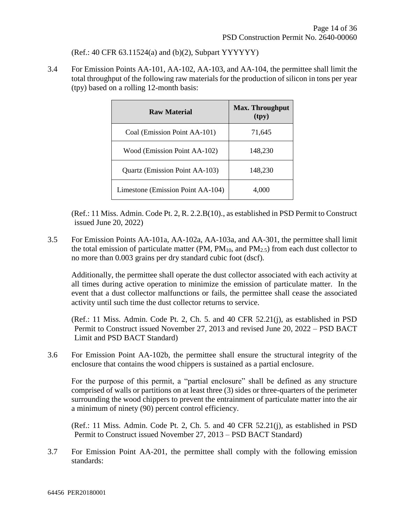(Ref.: 40 CFR 63.11524(a) and (b)(2), Subpart YYYYYY)

3.4 For Emission Points AA-101, AA-102, AA-103, and AA-104, the permittee shall limit the total throughput of the following raw materials for the production of silicon in tons per year (tpy) based on a rolling 12-month basis:

| Raw Material                      | <b>Max. Throughput</b><br>(tpy) |
|-----------------------------------|---------------------------------|
| Coal (Emission Point AA-101)      | 71,645                          |
| Wood (Emission Point AA-102)      | 148,230                         |
| Quartz (Emission Point AA-103)    | 148,230                         |
| Limestone (Emission Point AA-104) | 4,000                           |

(Ref.: 11 Miss. Admin. Code Pt. 2, R. 2.2.B(10)., as established in PSD Permit to Construct issued June 20, 2022)

3.5 For Emission Points AA-101a, AA-102a, AA-103a, and AA-301, the permittee shall limit the total emission of particulate matter (PM,  $PM_{10}$ , and  $PM_{2.5}$ ) from each dust collector to no more than 0.003 grains per dry standard cubic foot (dscf).

Additionally, the permittee shall operate the dust collector associated with each activity at all times during active operation to minimize the emission of particulate matter. In the event that a dust collector malfunctions or fails, the permittee shall cease the associated activity until such time the dust collector returns to service.

(Ref.: 11 Miss. Admin. Code Pt. 2, Ch. 5. and 40 CFR 52.21(j), as established in PSD Permit to Construct issued November 27, 2013 and revised June 20, 2022 – PSD BACT Limit and PSD BACT Standard)

3.6 For Emission Point AA-102b, the permittee shall ensure the structural integrity of the enclosure that contains the wood chippers is sustained as a partial enclosure.

For the purpose of this permit, a "partial enclosure" shall be defined as any structure comprised of walls or partitions on at least three (3) sides or three-quarters of the perimeter surrounding the wood chippers to prevent the entrainment of particulate matter into the air a minimum of ninety (90) percent control efficiency.

(Ref.: 11 Miss. Admin. Code Pt. 2, Ch. 5. and 40 CFR 52.21(j), as established in PSD Permit to Construct issued November 27, 2013 – PSD BACT Standard)

3.7 For Emission Point AA-201, the permittee shall comply with the following emission standards: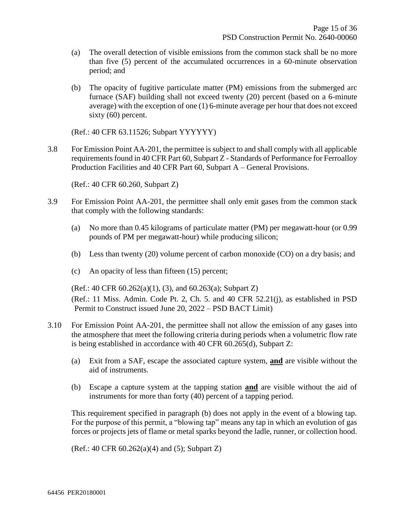- (a) The overall detection of visible emissions from the common stack shall be no more than five (5) percent of the accumulated occurrences in a 60-minute observation period; and
- (b) The opacity of fugitive particulate matter (PM) emissions from the submerged arc furnace (SAF) building shall not exceed twenty (20) percent (based on a 6-minute average) with the exception of one (1) 6-minute average per hour that does not exceed sixty (60) percent.

(Ref.: 40 CFR 63.11526; Subpart YYYYYY)

3.8 For Emission Point AA-201, the permittee is subject to and shall comply with all applicable requirements found in 40 CFR Part 60, Subpart Z - Standards of Performance for Ferroalloy Production Facilities and 40 CFR Part 60, Subpart A – General Provisions.

(Ref.: 40 CFR 60.260, Subpart Z)

- 3.9 For Emission Point AA-201, the permittee shall only emit gases from the common stack that comply with the following standards:
	- (a) No more than 0.45 kilograms of particulate matter (PM) per megawatt-hour (or 0.99 pounds of PM per megawatt-hour) while producing silicon;
	- (b) Less than twenty (20) volume percent of carbon monoxide (CO) on a dry basis; and
	- (c) An opacity of less than fifteen (15) percent;

(Ref.: 40 CFR 60.262(a)(1), (3), and 60.263(a); Subpart Z)

(Ref.: 11 Miss. Admin. Code Pt. 2, Ch. 5. and 40 CFR 52.21(j), as established in PSD Permit to Construct issued June 20, 2022 – PSD BACT Limit)

- 3.10 For Emission Point AA-201, the permittee shall not allow the emission of any gases into the atmosphere that meet the following criteria during periods when a volumetric flow rate is being established in accordance with 40 CFR 60.265(d), Subpart Z:
	- (a) Exit from a SAF, escape the associated capture system, **and** are visible without the aid of instruments.
	- (b) Escape a capture system at the tapping station **and** are visible without the aid of instruments for more than forty (40) percent of a tapping period.

This requirement specified in paragraph (b) does not apply in the event of a blowing tap. For the purpose of this permit, a "blowing tap" means any tap in which an evolution of gas forces or projects jets of flame or metal sparks beyond the ladle, runner, or collection hood.

(Ref.: 40 CFR 60.262(a)(4) and (5); Subpart Z)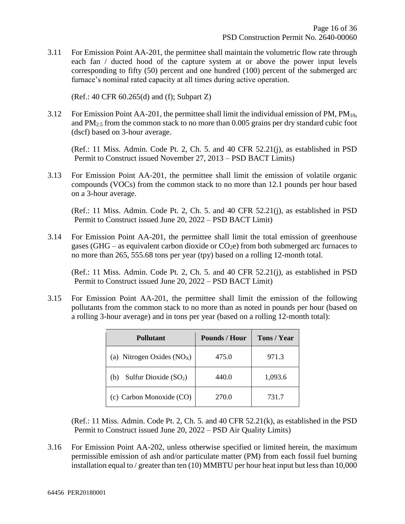3.11 For Emission Point AA-201, the permittee shall maintain the volumetric flow rate through each fan / ducted hood of the capture system at or above the power input levels corresponding to fifty (50) percent and one hundred (100) percent of the submerged arc furnace's nominal rated capacity at all times during active operation.

(Ref.: 40 CFR 60.265(d) and (f); Subpart Z)

3.12 For Emission Point AA-201, the permittee shall limit the individual emission of PM,  $PM_{10}$ , and PM2.5 from the common stack to no more than 0.005 grains per dry standard cubic foot (dscf) based on 3-hour average.

(Ref.: 11 Miss. Admin. Code Pt. 2, Ch. 5. and 40 CFR 52.21(j), as established in PSD Permit to Construct issued November 27, 2013 – PSD BACT Limits)

3.13 For Emission Point AA-201, the permittee shall limit the emission of volatile organic compounds (VOCs) from the common stack to no more than 12.1 pounds per hour based on a 3-hour average.

(Ref.: 11 Miss. Admin. Code Pt. 2, Ch. 5. and 40 CFR 52.21(j), as established in PSD Permit to Construct issued June 20, 2022 – PSD BACT Limit)

3.14 For Emission Point AA-201, the permittee shall limit the total emission of greenhouse gases (GHG – as equivalent carbon dioxide or  $CO<sub>2</sub>e$ ) from both submerged arc furnaces to no more than 265, 555.68 tons per year (tpy) based on a rolling 12-month total.

(Ref.: 11 Miss. Admin. Code Pt. 2, Ch. 5. and 40 CFR 52.21(j), as established in PSD Permit to Construct issued June 20, 2022 – PSD BACT Limit)

3.15 For Emission Point AA-201, the permittee shall limit the emission of the following pollutants from the common stack to no more than as noted in pounds per hour (based on a rolling 3-hour average) and in tons per year (based on a rolling 12-month total):

| <b>Pollutant</b>              | <b>Pounds / Hour</b> | Tons / Year |
|-------------------------------|----------------------|-------------|
| (a) Nitrogen Oxides $(NOX)$   | 475.0                | 971.3       |
| Sulfur Dioxide $(SO2)$<br>(b) | 440.0                | 1,093.6     |
| (c) Carbon Monoxide (CO)      | 270.0                | 731.7       |

(Ref.: 11 Miss. Admin. Code Pt. 2, Ch. 5. and 40 CFR 52.21(k), as established in the PSD Permit to Construct issued June 20, 2022 – PSD Air Quality Limits)

3.16 For Emission Point AA-202, unless otherwise specified or limited herein, the maximum permissible emission of ash and/or particulate matter (PM) from each fossil fuel burning installation equal to / greater than ten (10) MMBTU per hour heat input but less than 10,000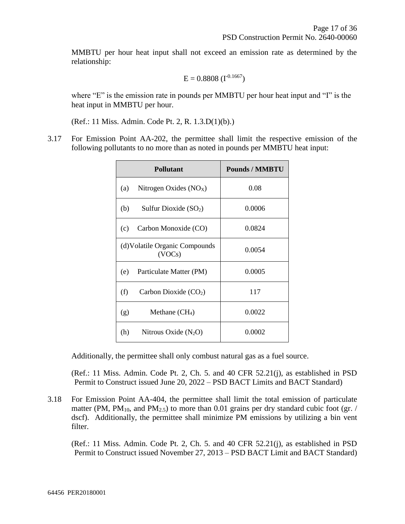MMBTU per hour heat input shall not exceed an emission rate as determined by the relationship:

$$
E = 0.8808 \ (I^{-0.1667})
$$

where "E" is the emission rate in pounds per MMBTU per hour heat input and "I" is the heat input in MMBTU per hour.

(Ref.: 11 Miss. Admin. Code Pt. 2, R. 1.3.D(1)(b).)

3.17 For Emission Point AA-202, the permittee shall limit the respective emission of the following pollutants to no more than as noted in pounds per MMBTU heat input:

| <b>Pollutant</b>                         | <b>Pounds / MMBTU</b> |
|------------------------------------------|-----------------------|
| (a)<br>Nitrogen Oxides $(NOX)$           | 0.08                  |
| (b)<br>Sulfur Dioxide $(SO2)$            | 0.0006                |
| Carbon Monoxide (CO)<br>(c)              | 0.0824                |
| (d) Volatile Organic Compounds<br>(VOCs) | 0.0054                |
| (e)<br>Particulate Matter (PM)           | 0.0005                |
| (f)<br>Carbon Dioxide $(CO2)$            | 117                   |
| (g)<br>Methane $\rm CH_4$ )              | 0.0022                |
| (h)<br>Nitrous Oxide $(N_2O)$            | 0.0002                |

Additionally, the permittee shall only combust natural gas as a fuel source.

(Ref.: 11 Miss. Admin. Code Pt. 2, Ch. 5. and 40 CFR 52.21(j), as established in PSD Permit to Construct issued June 20, 2022 – PSD BACT Limits and BACT Standard)

3.18 For Emission Point AA-404, the permittee shall limit the total emission of particulate matter (PM, PM<sub>10</sub>, and PM<sub>2.5</sub>) to more than 0.01 grains per dry standard cubic foot (gr. / dscf). Additionally, the permittee shall minimize PM emissions by utilizing a bin vent filter.

(Ref.: 11 Miss. Admin. Code Pt. 2, Ch. 5. and 40 CFR 52.21(j), as established in PSD Permit to Construct issued November 27, 2013 – PSD BACT Limit and BACT Standard)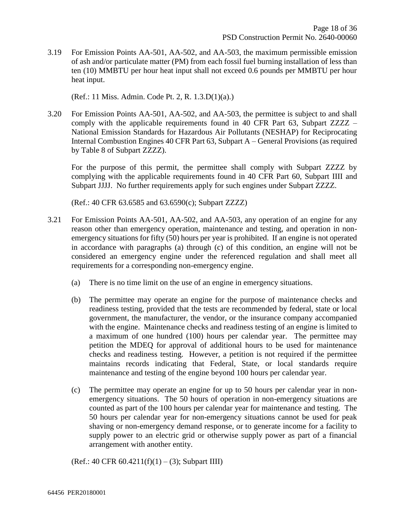3.19 For Emission Points AA-501, AA-502, and AA-503, the maximum permissible emission of ash and/or particulate matter (PM) from each fossil fuel burning installation of less than ten (10) MMBTU per hour heat input shall not exceed 0.6 pounds per MMBTU per hour heat input.

(Ref.: 11 Miss. Admin. Code Pt. 2, R. 1.3.D(1)(a).)

3.20 For Emission Points AA-501, AA-502, and AA-503, the permittee is subject to and shall comply with the applicable requirements found in 40 CFR Part 63, Subpart ZZZZ – National Emission Standards for Hazardous Air Pollutants (NESHAP) for Reciprocating Internal Combustion Engines 40 CFR Part 63, Subpart A – General Provisions (as required by Table 8 of Subpart ZZZZ).

For the purpose of this permit, the permittee shall comply with Subpart ZZZZ by complying with the applicable requirements found in 40 CFR Part 60, Subpart IIII and Subpart JJJJ. No further requirements apply for such engines under Subpart ZZZZ.

(Ref.: 40 CFR 63.6585 and 63.6590(c); Subpart ZZZZ)

- 3.21 For Emission Points AA-501, AA-502, and AA-503, any operation of an engine for any reason other than emergency operation, maintenance and testing, and operation in nonemergency situations for fifty (50) hours per year is prohibited. If an engine is not operated in accordance with paragraphs (a) through (c) of this condition, an engine will not be considered an emergency engine under the referenced regulation and shall meet all requirements for a corresponding non-emergency engine.
	- (a) There is no time limit on the use of an engine in emergency situations.
	- (b) The permittee may operate an engine for the purpose of maintenance checks and readiness testing, provided that the tests are recommended by federal, state or local government, the manufacturer, the vendor, or the insurance company accompanied with the engine. Maintenance checks and readiness testing of an engine is limited to a maximum of one hundred (100) hours per calendar year. The permittee may petition the MDEQ for approval of additional hours to be used for maintenance checks and readiness testing. However, a petition is not required if the permittee maintains records indicating that Federal, State, or local standards require maintenance and testing of the engine beyond 100 hours per calendar year.
	- (c) The permittee may operate an engine for up to 50 hours per calendar year in nonemergency situations. The 50 hours of operation in non-emergency situations are counted as part of the 100 hours per calendar year for maintenance and testing. The 50 hours per calendar year for non-emergency situations cannot be used for peak shaving or non-emergency demand response, or to generate income for a facility to supply power to an electric grid or otherwise supply power as part of a financial arrangement with another entity.

 $(Ref.: 40 CFR 60.4211(f)(1) - (3); Subpart III)$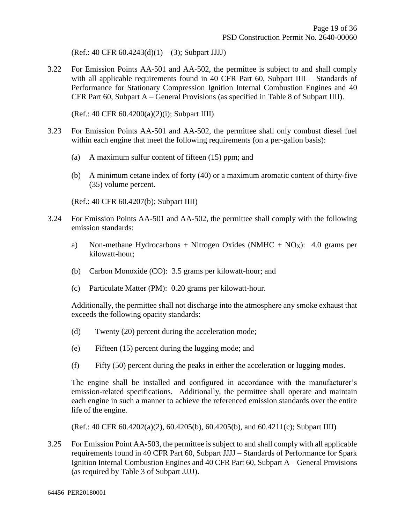$(Ref.: 40 CFR 60.4243(d)(1) – (3); Subpart JJJJ)$ 

3.22 For Emission Points AA-501 and AA-502, the permittee is subject to and shall comply with all applicable requirements found in 40 CFR Part 60, Subpart IIII – Standards of Performance for Stationary Compression Ignition Internal Combustion Engines and 40 CFR Part 60, Subpart A – General Provisions (as specified in Table 8 of Subpart IIII).

(Ref.: 40 CFR 60.4200(a)(2)(i); Subpart IIII)

- 3.23 For Emission Points AA-501 and AA-502, the permittee shall only combust diesel fuel within each engine that meet the following requirements (on a per-gallon basis):
	- (a) A maximum sulfur content of fifteen (15) ppm; and
	- (b) A minimum cetane index of forty (40) or a maximum aromatic content of thirty-five (35) volume percent.

(Ref.: 40 CFR 60.4207(b); Subpart IIII)

- 3.24 For Emission Points AA-501 and AA-502, the permittee shall comply with the following emission standards:
	- a) Non-methane Hydrocarbons + Nitrogen Oxides (NMHC +  $NO<sub>X</sub>$ ): 4.0 grams per kilowatt-hour;
	- (b) Carbon Monoxide (CO): 3.5 grams per kilowatt-hour; and
	- (c) Particulate Matter (PM): 0.20 grams per kilowatt-hour.

Additionally, the permittee shall not discharge into the atmosphere any smoke exhaust that exceeds the following opacity standards:

- (d) Twenty (20) percent during the acceleration mode;
- (e) Fifteen (15) percent during the lugging mode; and
- (f) Fifty (50) percent during the peaks in either the acceleration or lugging modes.

The engine shall be installed and configured in accordance with the manufacturer's emission-related specifications. Additionally, the permittee shall operate and maintain each engine in such a manner to achieve the referenced emission standards over the entire life of the engine.

(Ref.: 40 CFR 60.4202(a)(2), 60.4205(b), 60.4205(b), and 60.4211(c); Subpart IIII)

3.25 For Emission Point AA-503, the permittee is subject to and shall comply with all applicable requirements found in 40 CFR Part 60, Subpart JJJJ – Standards of Performance for Spark Ignition Internal Combustion Engines and 40 CFR Part 60, Subpart A – General Provisions (as required by Table 3 of Subpart JJJJ).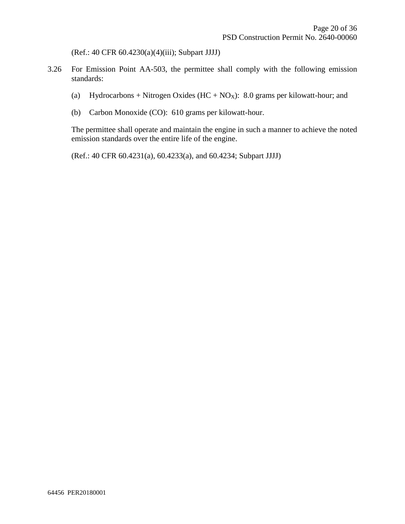(Ref.: 40 CFR 60.4230(a)(4)(iii); Subpart JJJJ)

- 3.26 For Emission Point AA-503, the permittee shall comply with the following emission standards:
	- (a) Hydrocarbons + Nitrogen Oxides  $(HC + NO_X)$ : 8.0 grams per kilowatt-hour; and
	- (b) Carbon Monoxide (CO): 610 grams per kilowatt-hour.

The permittee shall operate and maintain the engine in such a manner to achieve the noted emission standards over the entire life of the engine.

(Ref.: 40 CFR 60.4231(a), 60.4233(a), and 60.4234; Subpart JJJJ)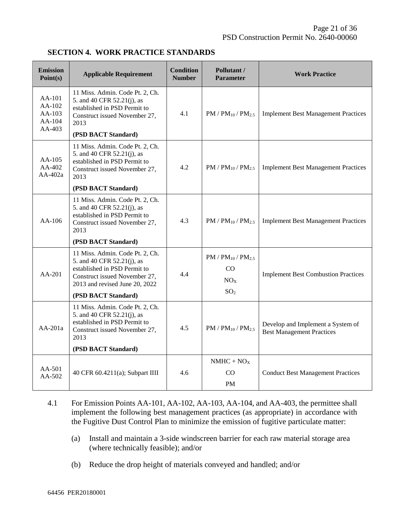| <b>Emission</b><br>Point(s)                    | <b>Applicable Requirement</b>                                                                                                                                                                                                 | <b>Condition</b><br><b>Number</b> | Pollutant /<br><b>Parameter</b>            | <b>Work Practice</b>                                                  |
|------------------------------------------------|-------------------------------------------------------------------------------------------------------------------------------------------------------------------------------------------------------------------------------|-----------------------------------|--------------------------------------------|-----------------------------------------------------------------------|
| AA-101<br>AA-102<br>AA-103<br>AA-104<br>AA-403 | 11 Miss. Admin. Code Pt. 2, Ch.<br>5. and 40 CFR 52.21(j), as<br>established in PSD Permit to<br>Construct issued November 27,<br>2013                                                                                        | 4.1                               | $PM / PM_{10} / PM_{2.5}$                  | <b>Implement Best Management Practices</b>                            |
|                                                | (PSD BACT Standard)                                                                                                                                                                                                           |                                   |                                            |                                                                       |
| $AA-105$<br>$AA-402$<br>$AA-402a$              | 11 Miss. Admin. Code Pt. 2, Ch.<br>5. and 40 CFR 52.21(j), as<br>established in PSD Permit to<br>Construct issued November 27,<br>2013                                                                                        | 4.2                               | $PM / PM_{10} / PM_{2.5}$                  | <b>Implement Best Management Practices</b>                            |
|                                                | (PSD BACT Standard)                                                                                                                                                                                                           |                                   |                                            |                                                                       |
| $AA-106$                                       | 11 Miss. Admin. Code Pt. 2, Ch.<br>5. and 40 CFR 52.21(j), as<br>established in PSD Permit to<br>Construct issued November 27,<br>2013                                                                                        | 4.3                               | $PM / PM_{10} / PM_{2.5}$                  | <b>Implement Best Management Practices</b>                            |
|                                                | (PSD BACT Standard)                                                                                                                                                                                                           |                                   |                                            |                                                                       |
| AA-201                                         | 11 Miss. Admin. Code Pt. 2, Ch.<br>$PM / PM_{10} / PM_{2.5}$<br>5. and 40 CFR 52.21(j), as<br>established in PSD Permit to<br>CO<br>4.4<br>Construct issued November 27,<br>NO <sub>X</sub><br>2013 and revised June 20, 2022 |                                   | <b>Implement Best Combustion Practices</b> |                                                                       |
|                                                | (PSD BACT Standard)                                                                                                                                                                                                           |                                   | SO <sub>2</sub>                            |                                                                       |
| $AA-201a$                                      | 11 Miss. Admin. Code Pt. 2, Ch.<br>5. and 40 CFR 52.21(j), as<br>established in PSD Permit to<br>Construct issued November 27,<br>2013                                                                                        | 4.5                               | $PM / PM_{10} / PM_{2.5}$                  | Develop and Implement a System of<br><b>Best Management Practices</b> |
|                                                | (PSD BACT Standard)                                                                                                                                                                                                           |                                   |                                            |                                                                       |
|                                                | 4.6<br>40 CFR 60.4211(a); Subpart IIII                                                                                                                                                                                        | $NMHC + NOX$                      |                                            |                                                                       |
| $AA-501$<br>$AA-502$                           |                                                                                                                                                                                                                               |                                   | CO.                                        | <b>Conduct Best Management Practices</b>                              |
|                                                |                                                                                                                                                                                                                               |                                   | <b>PM</b>                                  |                                                                       |

- 4.1 For Emission Points AA-101, AA-102, AA-103, AA-104, and AA-403, the permittee shall implement the following best management practices (as appropriate) in accordance with the Fugitive Dust Control Plan to minimize the emission of fugitive particulate matter:
	- (a) Install and maintain a 3-side windscreen barrier for each raw material storage area (where technically feasible); and/or
	- (b) Reduce the drop height of materials conveyed and handled; and/or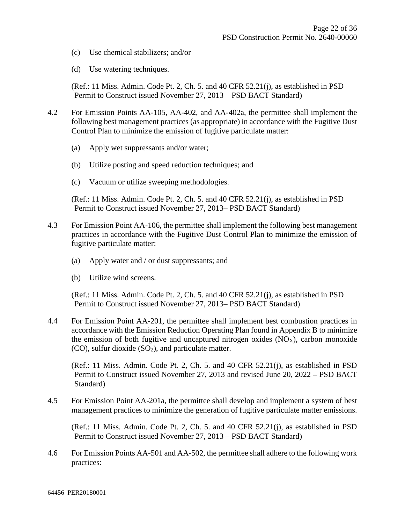- (c) Use chemical stabilizers; and/or
- (d) Use watering techniques.

(Ref.: 11 Miss. Admin. Code Pt. 2, Ch. 5. and 40 CFR 52.21(j), as established in PSD Permit to Construct issued November 27, 2013 – PSD BACT Standard)

- 4.2 For Emission Points AA-105, AA-402, and AA-402a, the permittee shall implement the following best management practices (as appropriate) in accordance with the Fugitive Dust Control Plan to minimize the emission of fugitive particulate matter:
	- (a) Apply wet suppressants and/or water;
	- (b) Utilize posting and speed reduction techniques; and
	- (c) Vacuum or utilize sweeping methodologies.

(Ref.: 11 Miss. Admin. Code Pt. 2, Ch. 5. and 40 CFR 52.21(j), as established in PSD Permit to Construct issued November 27, 2013– PSD BACT Standard)

- 4.3 For Emission Point AA-106, the permittee shall implement the following best management practices in accordance with the Fugitive Dust Control Plan to minimize the emission of fugitive particulate matter:
	- (a) Apply water and / or dust suppressants; and
	- (b) Utilize wind screens.

(Ref.: 11 Miss. Admin. Code Pt. 2, Ch. 5. and 40 CFR 52.21(j), as established in PSD Permit to Construct issued November 27, 2013– PSD BACT Standard)

4.4 For Emission Point AA-201, the permittee shall implement best combustion practices in accordance with the Emission Reduction Operating Plan found in Appendix B to minimize the emission of both fugitive and uncaptured nitrogen oxides  $(NO<sub>X</sub>)$ , carbon monoxide  $(CO)$ , sulfur dioxide  $(SO<sub>2</sub>)$ , and particulate matter.

(Ref.: 11 Miss. Admin. Code Pt. 2, Ch. 5. and 40 CFR 52.21(j), as established in PSD Permit to Construct issued November 27, 2013 and revised June 20, 2022 **–** PSD BACT Standard)

4.5 For Emission Point AA-201a, the permittee shall develop and implement a system of best management practices to minimize the generation of fugitive particulate matter emissions.

(Ref.: 11 Miss. Admin. Code Pt. 2, Ch. 5. and 40 CFR 52.21(j), as established in PSD Permit to Construct issued November 27, 2013 – PSD BACT Standard)

4.6 For Emission Points AA-501 and AA-502, the permittee shall adhere to the following work practices: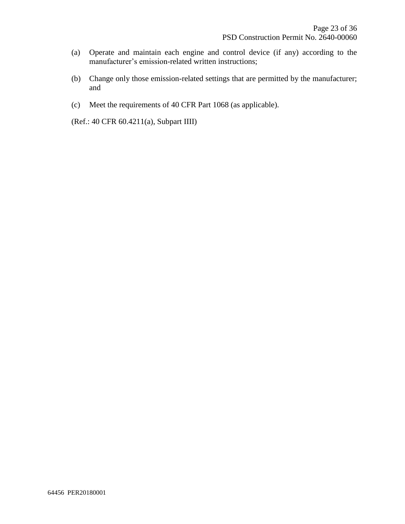- (a) Operate and maintain each engine and control device (if any) according to the manufacturer's emission-related written instructions;
- (b) Change only those emission-related settings that are permitted by the manufacturer; and
- (c) Meet the requirements of 40 CFR Part 1068 (as applicable).

(Ref.: 40 CFR 60.4211(a), Subpart IIII)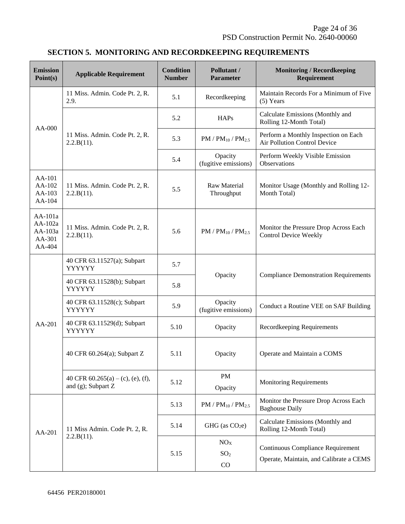### **SECTION 5. MONITORING AND RECORDKEEPING REQUIREMENTS**

| <b>Emission</b><br>Point(s)                       | <b>Applicable Requirement</b>                              | <b>Condition</b><br><b>Number</b> | Pollutant /<br><b>Parameter</b>          | <b>Monitoring / Recordkeeping</b><br>Requirement                             |
|---------------------------------------------------|------------------------------------------------------------|-----------------------------------|------------------------------------------|------------------------------------------------------------------------------|
|                                                   | 11 Miss. Admin. Code Pt. 2, R.<br>2.9.                     | 5.1                               | Recordkeeping                            | Maintain Records For a Minimum of Five<br>$(5)$ Years                        |
|                                                   |                                                            | 5.2                               | <b>HAPs</b>                              | Calculate Emissions (Monthly and<br>Rolling 12-Month Total)                  |
| AA-000                                            | 11 Miss. Admin. Code Pt. 2, R.<br>2.2.B(11).               | 5.3                               | $PM / PM_{10} / PM_{2.5}$                | Perform a Monthly Inspection on Each<br>Air Pollution Control Device         |
|                                                   |                                                            | 5.4                               | Opacity<br>(fugitive emissions)          | Perform Weekly Visible Emission<br>Observations                              |
| AA-101<br>AA-102<br>AA-103<br>AA-104              | 11 Miss. Admin. Code Pt. 2, R.<br>2.2.B(11).               | 5.5                               | Raw Material<br>Throughput               | Monitor Usage (Monthly and Rolling 12-<br>Month Total)                       |
| AA-101a<br>AA-102a<br>AA-103a<br>AA-301<br>AA-404 | 11 Miss. Admin. Code Pt. 2, R.<br>2.2.B(11).               | 5.6                               | $PM / PM_{10} / PM_{2.5}$                | Monitor the Pressure Drop Across Each<br><b>Control Device Weekly</b>        |
|                                                   | 40 CFR 63.11527(a); Subpart<br>YYYYYY                      | 5.7                               | Opacity                                  | <b>Compliance Demonstration Requirements</b>                                 |
|                                                   | 40 CFR 63.11528(b); Subpart<br>YYYYYY                      | 5.8                               |                                          |                                                                              |
|                                                   | 40 CFR 63.11528(c); Subpart<br>YYYYYY                      | 5.9                               | Opacity<br>(fugitive emissions)          | Conduct a Routine VEE on SAF Building                                        |
| AA-201                                            | 40 CFR 63.11529(d); Subpart<br>YYYYYY                      | 5.10                              | Opacity                                  | Recordkeeping Requirements                                                   |
|                                                   | 40 CFR 60.264(a); Subpart Z                                | 5.11                              | Opacity                                  | Operate and Maintain a COMS                                                  |
|                                                   | 40 CFR $60.265(a) - (c)$ , (e), (f),<br>and (g); Subpart Z | 5.12                              | PM<br>Opacity                            | <b>Monitoring Requirements</b>                                               |
| $AA-201$                                          | 11 Miss Admin. Code Pt. 2, R.<br>2.2.B(11).                | 5.13                              | $PM / PM_{10} / PM_{2.5}$                | Monitor the Pressure Drop Across Each<br><b>Baghouse Daily</b>               |
|                                                   |                                                            | 5.14                              | GHG (as $CO2e$ )                         | Calculate Emissions (Monthly and<br>Rolling 12-Month Total)                  |
|                                                   |                                                            | 5.15                              | NO <sub>X</sub><br>SO <sub>2</sub><br>CO | Continuous Compliance Requirement<br>Operate, Maintain, and Calibrate a CEMS |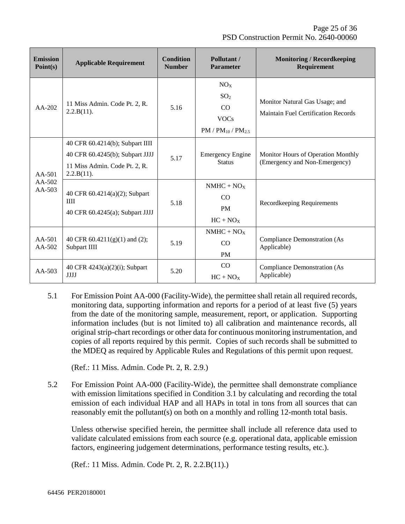| <b>Emission</b><br>Point(s)    | <b>Applicable Requirement</b>                                                                                     | <b>Condition</b><br><b>Number</b> | Pollutant /<br><b>Parameter</b>                                                      | <b>Monitoring / Recordkeeping</b><br>Requirement                      |
|--------------------------------|-------------------------------------------------------------------------------------------------------------------|-----------------------------------|--------------------------------------------------------------------------------------|-----------------------------------------------------------------------|
| $AA-202$                       | 11 Miss Admin. Code Pt. 2, R.<br>2.2.B(11).                                                                       | 5.16                              | NO <sub>X</sub><br>SO <sub>2</sub><br>CO<br><b>VOCs</b><br>$PM / PM_{10} / PM_{2.5}$ | Monitor Natural Gas Usage; and<br>Maintain Fuel Certification Records |
| $AA-501$<br>AA-502<br>$AA-503$ | 40 CFR 60.4214(b); Subpart IIII<br>40 CFR 60.4245(b); Subpart JJJJ<br>11 Miss Admin. Code Pt. 2, R.<br>2.2.B(11). | 5.17                              | <b>Emergency Engine</b><br><b>Status</b>                                             | Monitor Hours of Operation Monthly<br>(Emergency and Non-Emergency)   |
|                                | 40 CFR 60.4214(a)(2); Subpart<br>III<br>40 CFR 60.4245(a); Subpart JJJJ                                           | 5.18                              | $NMHC + NOx$<br>CO<br><b>PM</b><br>$HC + NO_X$                                       | Recordkeeping Requirements                                            |
| $AA-501$<br>AA-502             | 40 CFR 60.4211(g)(1) and (2);<br>Subpart IIII                                                                     | 5.19                              | $NMHC + NOX$<br>CO<br><b>PM</b>                                                      | <b>Compliance Demonstration (As</b><br>Applicable)                    |
| $AA-503$                       | 40 CFR 4243(a)(2)(i); Subpart<br><b>JJJJ</b>                                                                      | 5.20                              | CO<br>$HC + NOX$                                                                     | <b>Compliance Demonstration (As</b><br>Applicable)                    |

5.1 For Emission Point AA-000 (Facility-Wide), the permittee shall retain all required records, monitoring data, supporting information and reports for a period of at least five (5) years from the date of the monitoring sample, measurement, report, or application. Supporting information includes (but is not limited to) all calibration and maintenance records, all original strip-chart recordings or other data for continuous monitoring instrumentation, and copies of all reports required by this permit. Copies of such records shall be submitted to the MDEQ as required by Applicable Rules and Regulations of this permit upon request.

(Ref.: 11 Miss. Admin. Code Pt. 2, R. 2.9.)

5.2 For Emission Point AA-000 (Facility-Wide), the permittee shall demonstrate compliance with emission limitations specified in Condition 3.1 by calculating and recording the total emission of each individual HAP and all HAPs in total in tons from all sources that can reasonably emit the pollutant(s) on both on a monthly and rolling 12-month total basis.

Unless otherwise specified herein, the permittee shall include all reference data used to validate calculated emissions from each source (e.g. operational data, applicable emission factors, engineering judgement determinations, performance testing results, etc.).

(Ref.: 11 Miss. Admin. Code Pt. 2, R. 2.2.B(11).)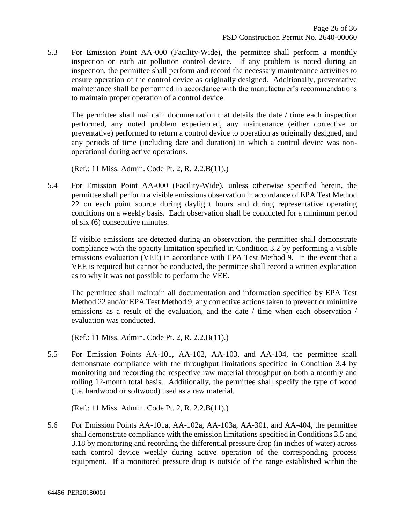5.3 For Emission Point AA-000 (Facility-Wide), the permittee shall perform a monthly inspection on each air pollution control device. If any problem is noted during an inspection, the permittee shall perform and record the necessary maintenance activities to ensure operation of the control device as originally designed. Additionally, preventative maintenance shall be performed in accordance with the manufacturer's recommendations to maintain proper operation of a control device.

The permittee shall maintain documentation that details the date / time each inspection performed, any noted problem experienced, any maintenance (either corrective or preventative) performed to return a control device to operation as originally designed, and any periods of time (including date and duration) in which a control device was nonoperational during active operations.

(Ref.: 11 Miss. Admin. Code Pt. 2, R. 2.2.B(11).)

5.4 For Emission Point AA-000 (Facility-Wide), unless otherwise specified herein, the permittee shall perform a visible emissions observation in accordance of EPA Test Method 22 on each point source during daylight hours and during representative operating conditions on a weekly basis. Each observation shall be conducted for a minimum period of six (6) consecutive minutes.

If visible emissions are detected during an observation, the permittee shall demonstrate compliance with the opacity limitation specified in Condition 3.2 by performing a visible emissions evaluation (VEE) in accordance with EPA Test Method 9. In the event that a VEE is required but cannot be conducted, the permittee shall record a written explanation as to why it was not possible to perform the VEE.

The permittee shall maintain all documentation and information specified by EPA Test Method 22 and/or EPA Test Method 9, any corrective actions taken to prevent or minimize emissions as a result of the evaluation, and the date / time when each observation / evaluation was conducted.

(Ref.: 11 Miss. Admin. Code Pt. 2, R. 2.2.B(11).)

5.5 For Emission Points AA-101, AA-102, AA-103, and AA-104, the permittee shall demonstrate compliance with the throughput limitations specified in Condition 3.4 by monitoring and recording the respective raw material throughput on both a monthly and rolling 12-month total basis. Additionally, the permittee shall specify the type of wood (i.e. hardwood or softwood) used as a raw material.

(Ref.: 11 Miss. Admin. Code Pt. 2, R. 2.2.B(11).)

5.6 For Emission Points AA-101a, AA-102a, AA-103a, AA-301, and AA-404, the permittee shall demonstrate compliance with the emission limitations specified in Conditions 3.5 and 3.18 by monitoring and recording the differential pressure drop (in inches of water) across each control device weekly during active operation of the corresponding process equipment. If a monitored pressure drop is outside of the range established within the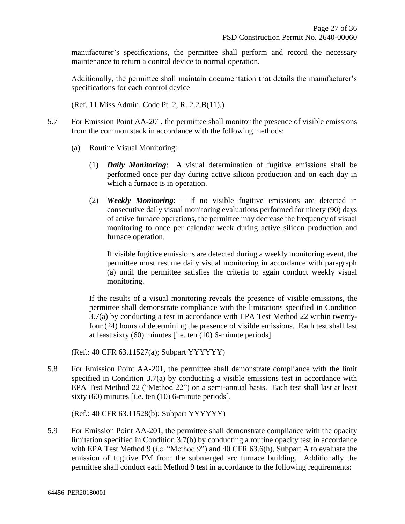manufacturer's specifications, the permittee shall perform and record the necessary maintenance to return a control device to normal operation.

Additionally, the permittee shall maintain documentation that details the manufacturer's specifications for each control device

(Ref. 11 Miss Admin. Code Pt. 2, R. 2.2.B(11).)

- 5.7 For Emission Point AA-201, the permittee shall monitor the presence of visible emissions from the common stack in accordance with the following methods:
	- (a) Routine Visual Monitoring:
		- (1) *Daily Monitoring*: A visual determination of fugitive emissions shall be performed once per day during active silicon production and on each day in which a furnace is in operation.
		- (2) *Weekly Monitoring*: If no visible fugitive emissions are detected in consecutive daily visual monitoring evaluations performed for ninety (90) days of active furnace operations, the permittee may decrease the frequency of visual monitoring to once per calendar week during active silicon production and furnace operation.

If visible fugitive emissions are detected during a weekly monitoring event, the permittee must resume daily visual monitoring in accordance with paragraph (a) until the permittee satisfies the criteria to again conduct weekly visual monitoring.

If the results of a visual monitoring reveals the presence of visible emissions, the permittee shall demonstrate compliance with the limitations specified in Condition 3.7(a) by conducting a test in accordance with EPA Test Method 22 within twentyfour (24) hours of determining the presence of visible emissions. Each test shall last at least sixty (60) minutes [i.e. ten (10) 6-minute periods].

(Ref.: 40 CFR 63.11527(a); Subpart YYYYYY)

5.8 For Emission Point AA-201, the permittee shall demonstrate compliance with the limit specified in Condition 3.7(a) by conducting a visible emissions test in accordance with EPA Test Method 22 ("Method 22") on a semi-annual basis. Each test shall last at least sixty (60) minutes [i.e. ten (10) 6-minute periods].

(Ref.: 40 CFR 63.11528(b); Subpart YYYYYY)

5.9 For Emission Point AA-201, the permittee shall demonstrate compliance with the opacity limitation specified in Condition 3.7(b) by conducting a routine opacity test in accordance with EPA Test Method 9 (i.e. "Method 9") and 40 CFR 63.6(h), Subpart A to evaluate the emission of fugitive PM from the submerged arc furnace building. Additionally the permittee shall conduct each Method 9 test in accordance to the following requirements: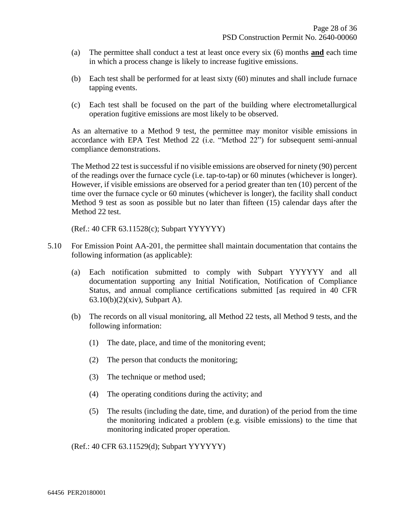- (a) The permittee shall conduct a test at least once every six (6) months **and** each time in which a process change is likely to increase fugitive emissions.
- (b) Each test shall be performed for at least sixty (60) minutes and shall include furnace tapping events.
- (c) Each test shall be focused on the part of the building where electrometallurgical operation fugitive emissions are most likely to be observed.

As an alternative to a Method 9 test, the permittee may monitor visible emissions in accordance with EPA Test Method 22 (i.e. "Method 22") for subsequent semi-annual compliance demonstrations.

The Method 22 test is successful if no visible emissions are observed for ninety (90) percent of the readings over the furnace cycle (i.e. tap-to-tap) or 60 minutes (whichever is longer). However, if visible emissions are observed for a period greater than ten (10) percent of the time over the furnace cycle or 60 minutes (whichever is longer), the facility shall conduct Method 9 test as soon as possible but no later than fifteen (15) calendar days after the Method 22 test.

(Ref.: 40 CFR 63.11528(c); Subpart YYYYYY)

- 5.10 For Emission Point AA-201, the permittee shall maintain documentation that contains the following information (as applicable):
	- (a) Each notification submitted to comply with Subpart YYYYYY and all documentation supporting any Initial Notification, Notification of Compliance Status, and annual compliance certifications submitted [as required in 40 CFR 63.10(b)(2)(xiv), Subpart A).
	- (b) The records on all visual monitoring, all Method 22 tests, all Method 9 tests, and the following information:
		- (1) The date, place, and time of the monitoring event;
		- (2) The person that conducts the monitoring;
		- (3) The technique or method used;
		- (4) The operating conditions during the activity; and
		- (5) The results (including the date, time, and duration) of the period from the time the monitoring indicated a problem (e.g. visible emissions) to the time that monitoring indicated proper operation.

(Ref.: 40 CFR 63.11529(d); Subpart YYYYYY)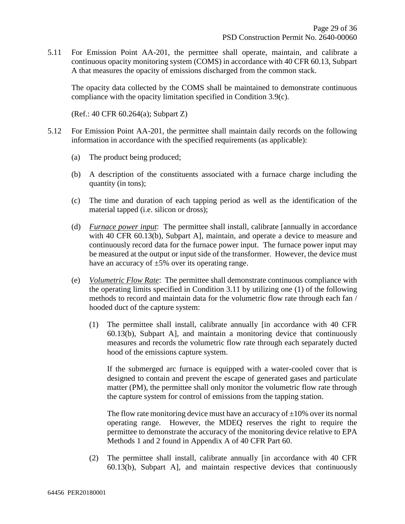5.11 For Emission Point AA-201, the permittee shall operate, maintain, and calibrate a continuous opacity monitoring system (COMS) in accordance with 40 CFR 60.13, Subpart A that measures the opacity of emissions discharged from the common stack.

The opacity data collected by the COMS shall be maintained to demonstrate continuous compliance with the opacity limitation specified in Condition 3.9(c).

(Ref.: 40 CFR 60.264(a); Subpart Z)

- 5.12 For Emission Point AA-201, the permittee shall maintain daily records on the following information in accordance with the specified requirements (as applicable):
	- (a) The product being produced;
	- (b) A description of the constituents associated with a furnace charge including the quantity (in tons);
	- (c) The time and duration of each tapping period as well as the identification of the material tapped (i.e. silicon or dross);
	- (d) *Furnace power input*: The permittee shall install, calibrate [annually in accordance with 40 CFR 60.13(b), Subpart A], maintain, and operate a device to measure and continuously record data for the furnace power input. The furnace power input may be measured at the output or input side of the transformer. However, the device must have an accuracy of  $\pm 5\%$  over its operating range.
	- (e) *Volumetric Flow Rate*: The permittee shall demonstrate continuous compliance with the operating limits specified in Condition 3.11 by utilizing one (1) of the following methods to record and maintain data for the volumetric flow rate through each fan / hooded duct of the capture system:
		- (1) The permittee shall install, calibrate annually [in accordance with 40 CFR 60.13(b), Subpart A], and maintain a monitoring device that continuously measures and records the volumetric flow rate through each separately ducted hood of the emissions capture system.

If the submerged arc furnace is equipped with a water-cooled cover that is designed to contain and prevent the escape of generated gases and particulate matter (PM), the permittee shall only monitor the volumetric flow rate through the capture system for control of emissions from the tapping station.

The flow rate monitoring device must have an accuracy of  $\pm 10\%$  over its normal operating range. However, the MDEQ reserves the right to require the permittee to demonstrate the accuracy of the monitoring device relative to EPA Methods 1 and 2 found in Appendix A of 40 CFR Part 60.

(2) The permittee shall install, calibrate annually [in accordance with 40 CFR 60.13(b), Subpart A], and maintain respective devices that continuously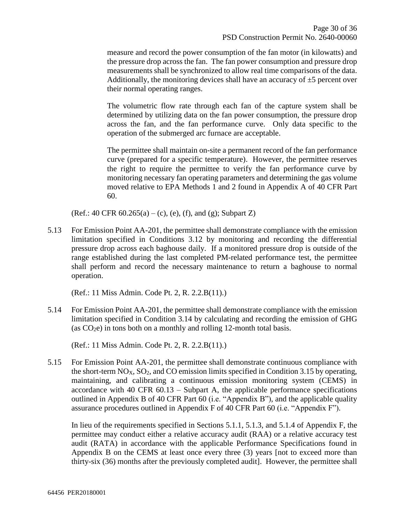measure and record the power consumption of the fan motor (in kilowatts) and the pressure drop across the fan. The fan power consumption and pressure drop measurements shall be synchronized to allow real time comparisons of the data. Additionally, the monitoring devices shall have an accuracy of  $\pm 5$  percent over their normal operating ranges.

The volumetric flow rate through each fan of the capture system shall be determined by utilizing data on the fan power consumption, the pressure drop across the fan, and the fan performance curve. Only data specific to the operation of the submerged arc furnace are acceptable.

The permittee shall maintain on-site a permanent record of the fan performance curve (prepared for a specific temperature). However, the permittee reserves the right to require the permittee to verify the fan performance curve by monitoring necessary fan operating parameters and determining the gas volume moved relative to EPA Methods 1 and 2 found in Appendix A of 40 CFR Part 60.

(Ref.: 40 CFR  $60.265(a) - (c)$ , (e), (f), and (g); Subpart Z)

5.13 For Emission Point AA-201, the permittee shall demonstrate compliance with the emission limitation specified in Conditions 3.12 by monitoring and recording the differential pressure drop across each baghouse daily. If a monitored pressure drop is outside of the range established during the last completed PM-related performance test, the permittee shall perform and record the necessary maintenance to return a baghouse to normal operation.

(Ref.: 11 Miss Admin. Code Pt. 2, R. 2.2.B(11).)

5.14 For Emission Point AA-201, the permittee shall demonstrate compliance with the emission limitation specified in Condition 3.14 by calculating and recording the emission of GHG (as  $CO<sub>2</sub>e$ ) in tons both on a monthly and rolling 12-month total basis.

(Ref.: 11 Miss Admin. Code Pt. 2, R. 2.2.B(11).)

5.15 For Emission Point AA-201, the permittee shall demonstrate continuous compliance with the short-term  $NO<sub>X</sub>$ ,  $SO<sub>2</sub>$ , and CO emission limits specified in Condition 3.15 by operating, maintaining, and calibrating a continuous emission monitoring system (CEMS) in accordance with 40 CFR 60.13 – Subpart A, the applicable performance specifications outlined in Appendix B of 40 CFR Part 60 (i.e. "Appendix B"), and the applicable quality assurance procedures outlined in Appendix F of 40 CFR Part 60 (i.e. "Appendix F").

In lieu of the requirements specified in Sections 5.1.1, 5.1.3, and 5.1.4 of Appendix F, the permittee may conduct either a relative accuracy audit (RAA) or a relative accuracy test audit (RATA) in accordance with the applicable Performance Specifications found in Appendix B on the CEMS at least once every three (3) years [not to exceed more than thirty-six (36) months after the previously completed audit]. However, the permittee shall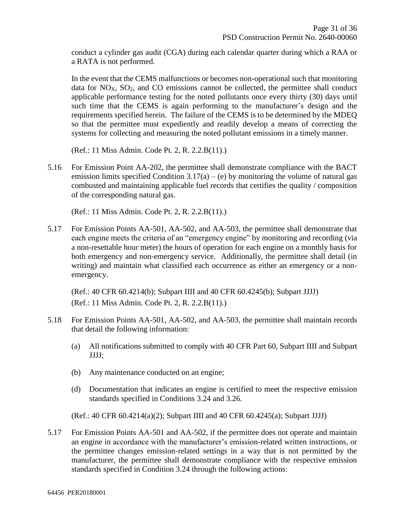conduct a cylinder gas audit (CGA) during each calendar quarter during which a RAA or a RATA is not performed.

In the event that the CEMS malfunctions or becomes non-operational such that monitoring data for  $NO<sub>X</sub>$ ,  $SO<sub>2</sub>$ , and  $CO$  emissions cannot be collected, the permittee shall conduct applicable performance testing for the noted pollutants once every thirty (30) days until such time that the CEMS is again performing to the manufacturer's design and the requirements specified herein. The failure of the CEMS is to be determined by the MDEQ so that the permittee must expediently and readily develop a means of correcting the systems for collecting and measuring the noted pollutant emissions in a timely manner.

(Ref.: 11 Miss Admin. Code Pt. 2, R. 2.2.B(11).)

5.16 For Emission Point AA-202, the permittee shall demonstrate compliance with the BACT emission limits specified Condition  $3.17(a) - (e)$  by monitoring the volume of natural gas combusted and maintaining applicable fuel records that certifies the quality / composition of the corresponding natural gas.

(Ref.: 11 Miss Admin. Code Pt. 2, R. 2.2.B(11).)

5.17 For Emission Points AA-501, AA-502, and AA-503, the permittee shall demonstrate that each engine meets the criteria of an "emergency engine" by monitoring and recording (via a non-resettable hour meter) the hours of operation for each engine on a monthly basis for both emergency and non-emergency service. Additionally, the permittee shall detail (in writing) and maintain what classified each occurrence as either an emergency or a nonemergency.

(Ref.: 40 CFR 60.4214(b); Subpart IIII and 40 CFR 60.4245(b); Subpart JJJJ) (Ref.: 11 Miss Admin. Code Pt. 2, R. 2.2.B(11).)

- 5.18 For Emission Points AA-501, AA-502, and AA-503, the permittee shall maintain records that detail the following information:
	- (a) All notifications submitted to comply with 40 CFR Part 60, Subpart IIII and Subpart JJJJ;
	- (b) Any maintenance conducted on an engine;
	- (d) Documentation that indicates an engine is certified to meet the respective emission standards specified in Conditions 3.24 and 3.26.

(Ref.: 40 CFR 60.4214(a)(2); Subpart IIII and 40 CFR 60.4245(a); Subpart JJJJ)

5.17 For Emission Points AA-501 and AA-502, if the permittee does not operate and maintain an engine in accordance with the manufacturer's emission-related written instructions, or the permittee changes emission-related settings in a way that is not permitted by the manufacturer, the permittee shall demonstrate compliance with the respective emission standards specified in Condition 3.24 through the following actions: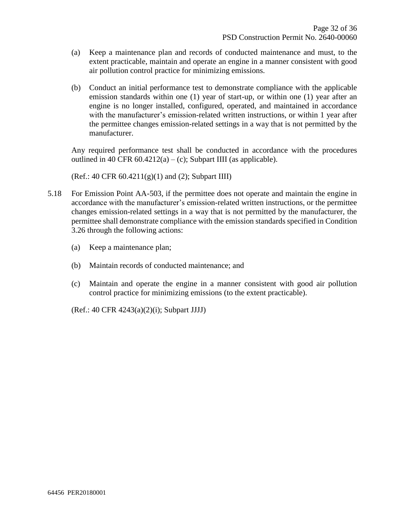- (a) Keep a maintenance plan and records of conducted maintenance and must, to the extent practicable, maintain and operate an engine in a manner consistent with good air pollution control practice for minimizing emissions.
- (b) Conduct an initial performance test to demonstrate compliance with the applicable emission standards within one (1) year of start-up, or within one (1) year after an engine is no longer installed, configured, operated, and maintained in accordance with the manufacturer's emission-related written instructions, or within 1 year after the permittee changes emission-related settings in a way that is not permitted by the manufacturer.

Any required performance test shall be conducted in accordance with the procedures outlined in 40 CFR  $60.4212(a) - (c)$ ; Subpart IIII (as applicable).

(Ref.: 40 CFR 60.4211(g)(1) and (2); Subpart IIII)

- 5.18 For Emission Point AA-503, if the permittee does not operate and maintain the engine in accordance with the manufacturer's emission-related written instructions, or the permittee changes emission-related settings in a way that is not permitted by the manufacturer, the permittee shall demonstrate compliance with the emission standards specified in Condition 3.26 through the following actions:
	- (a) Keep a maintenance plan;
	- (b) Maintain records of conducted maintenance; and
	- (c) Maintain and operate the engine in a manner consistent with good air pollution control practice for minimizing emissions (to the extent practicable).

(Ref.: 40 CFR 4243(a)(2)(i); Subpart JJJJ)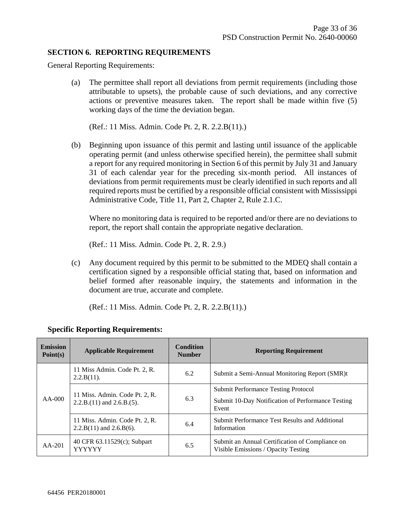#### **SECTION 6. REPORTING REQUIREMENTS**

General Reporting Requirements:

(a) The permittee shall report all deviations from permit requirements (including those attributable to upsets), the probable cause of such deviations, and any corrective actions or preventive measures taken. The report shall be made within five (5) working days of the time the deviation began.

(Ref.: 11 Miss. Admin. Code Pt. 2, R. 2.2.B(11).)

(b) Beginning upon issuance of this permit and lasting until issuance of the applicable operating permit (and unless otherwise specified herein), the permittee shall submit a report for any required monitoring in Section 6 of this permit by July 31 and January 31 of each calendar year for the preceding six-month period. All instances of deviations from permit requirements must be clearly identified in such reports and all required reports must be certified by a responsible official consistent with Mississippi Administrative Code, Title 11, Part 2, Chapter 2, Rule 2.1.C.

Where no monitoring data is required to be reported and/or there are no deviations to report, the report shall contain the appropriate negative declaration.

(Ref.: 11 Miss. Admin. Code Pt. 2, R. 2.9.)

(c) Any document required by this permit to be submitted to the MDEQ shall contain a certification signed by a responsible official stating that, based on information and belief formed after reasonable inquiry, the statements and information in the document are true, accurate and complete.

(Ref.: 11 Miss. Admin. Code Pt. 2, R. 2.2.B(11).)

| <b>Emission</b><br>Point(s) | <b>Applicable Requirement</b>                                    | <b>Condition</b><br><b>Number</b> | <b>Reporting Requirement</b>                                                                             |
|-----------------------------|------------------------------------------------------------------|-----------------------------------|----------------------------------------------------------------------------------------------------------|
| $AA-000$                    | 11 Miss Admin. Code Pt. 2, R.<br>$2.2.B(11)$ .                   | 6.2                               | Submit a Semi-Annual Monitoring Report (SMR)t                                                            |
|                             | 11 Miss. Admin. Code Pt. 2, R.<br>$2.2.B.(11)$ and $2.6.B.(5)$ . | 6.3                               | <b>Submit Performance Testing Protocol</b><br>Submit 10-Day Notification of Performance Testing<br>Event |
|                             | 11 Miss. Admin. Code Pt. 2, R.<br>$2.2.B(11)$ and $2.6.B(6)$ .   | 6.4                               | Submit Performance Test Results and Additional<br>Information                                            |
| $AA-201$                    | 40 CFR 63.11529(c); Subpart<br><b>YYYYYY</b>                     | 6.5                               | Submit an Annual Certification of Compliance on<br>Visible Emissions / Opacity Testing                   |

#### **Specific Reporting Requirements:**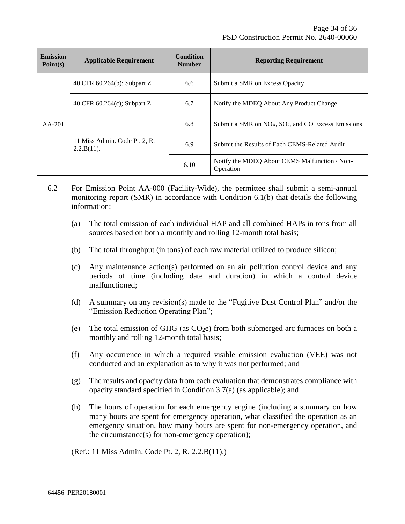| <b>Emission</b><br>Point(s) | <b>Applicable Requirement</b>               | <b>Condition</b><br><b>Number</b> | <b>Reporting Requirement</b>                                      |  |
|-----------------------------|---------------------------------------------|-----------------------------------|-------------------------------------------------------------------|--|
| $AA-201$                    | 40 CFR 60.264(b); Subpart Z                 | 6.6                               | Submit a SMR on Excess Opacity                                    |  |
|                             | 40 CFR $60.264(c)$ ; Subpart Z              | 6.7                               | Notify the MDEQ About Any Product Change                          |  |
|                             | 11 Miss Admin. Code Pt. 2, R.<br>2.2.B(11). | 6.8                               | Submit a SMR on $NOx$ , SO <sub>2</sub> , and CO Excess Emissions |  |
|                             |                                             | 6.9                               | Submit the Results of Each CEMS-Related Audit                     |  |
|                             |                                             | 6.10                              | Notify the MDEQ About CEMS Malfunction / Non-<br>Operation        |  |

- 6.2 For Emission Point AA-000 (Facility-Wide), the permittee shall submit a semi-annual monitoring report (SMR) in accordance with Condition 6.1(b) that details the following information:
	- (a) The total emission of each individual HAP and all combined HAPs in tons from all sources based on both a monthly and rolling 12-month total basis;
	- (b) The total throughput (in tons) of each raw material utilized to produce silicon;
	- (c) Any maintenance action(s) performed on an air pollution control device and any periods of time (including date and duration) in which a control device malfunctioned;
	- (d) A summary on any revision(s) made to the "Fugitive Dust Control Plan" and/or the "Emission Reduction Operating Plan";
	- (e) The total emission of GHG (as  $CO<sub>2</sub>e$ ) from both submerged arc furnaces on both a monthly and rolling 12-month total basis;
	- (f) Any occurrence in which a required visible emission evaluation (VEE) was not conducted and an explanation as to why it was not performed; and
	- (g) The results and opacity data from each evaluation that demonstrates compliance with opacity standard specified in Condition 3.7(a) (as applicable); and
	- (h) The hours of operation for each emergency engine (including a summary on how many hours are spent for emergency operation, what classified the operation as an emergency situation, how many hours are spent for non-emergency operation, and the circumstance(s) for non-emergency operation);

(Ref.: 11 Miss Admin. Code Pt. 2, R. 2.2.B(11).)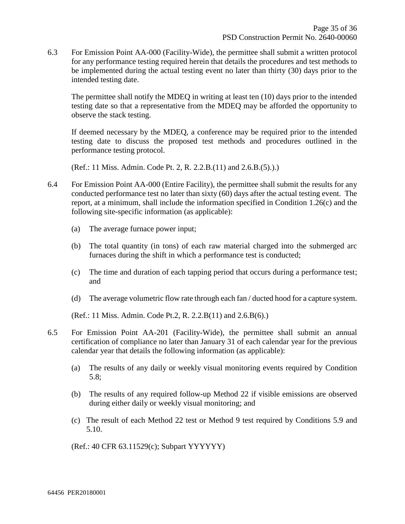6.3 For Emission Point AA-000 (Facility-Wide), the permittee shall submit a written protocol for any performance testing required herein that details the procedures and test methods to be implemented during the actual testing event no later than thirty (30) days prior to the intended testing date.

The permittee shall notify the MDEQ in writing at least ten (10) days prior to the intended testing date so that a representative from the MDEQ may be afforded the opportunity to observe the stack testing.

If deemed necessary by the MDEQ, a conference may be required prior to the intended testing date to discuss the proposed test methods and procedures outlined in the performance testing protocol.

(Ref.: 11 Miss. Admin. Code Pt. 2, R. 2.2.B.(11) and 2.6.B.(5).).)

- 6.4 For Emission Point AA-000 (Entire Facility), the permittee shall submit the results for any conducted performance test no later than sixty (60) days after the actual testing event. The report, at a minimum, shall include the information specified in Condition 1.26(c) and the following site-specific information (as applicable):
	- (a) The average furnace power input;
	- (b) The total quantity (in tons) of each raw material charged into the submerged arc furnaces during the shift in which a performance test is conducted;
	- (c) The time and duration of each tapping period that occurs during a performance test; and
	- (d) The average volumetric flow rate through each fan / ducted hood for a capture system.

(Ref.: 11 Miss. Admin. Code Pt.2, R. 2.2.B(11) and 2.6.B(6).)

- 6.5 For Emission Point AA-201 (Facility-Wide), the permittee shall submit an annual certification of compliance no later than January 31 of each calendar year for the previous calendar year that details the following information (as applicable):
	- (a) The results of any daily or weekly visual monitoring events required by Condition 5.8;
	- (b) The results of any required follow-up Method 22 if visible emissions are observed during either daily or weekly visual monitoring; and
	- (c) The result of each Method 22 test or Method 9 test required by Conditions 5.9 and 5.10.

(Ref.: 40 CFR 63.11529(c); Subpart YYYYYY)